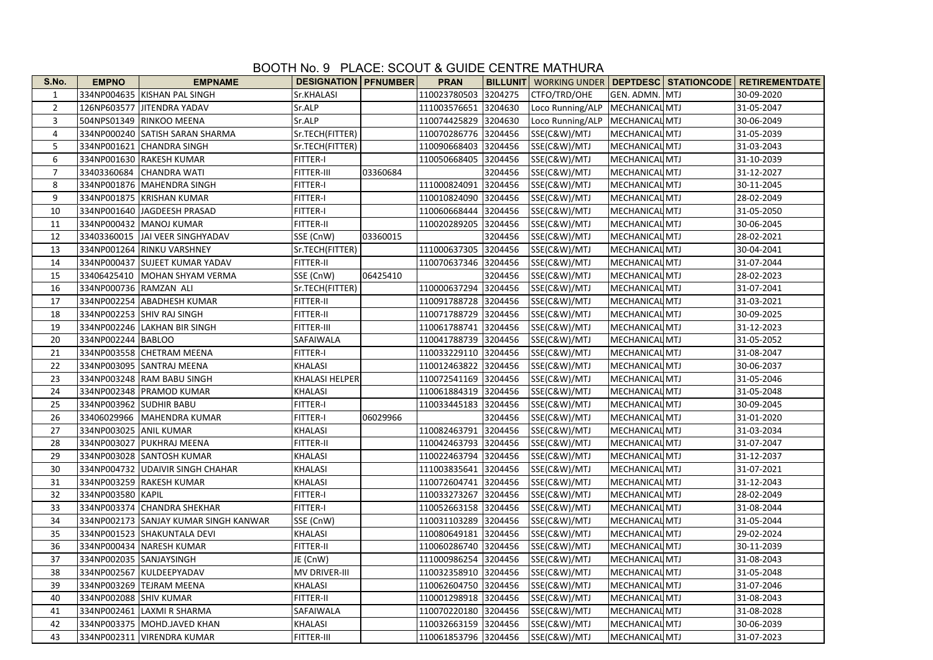## BOOTH No. 9 PLACE: SCOUT & GUIDE CENTRE MATHURA

| S.No.          | <b>EMPNO</b>            | <b>EMPNAME</b>                        | <b>DESIGNATION   PFNUMBER</b> |          | <b>PRAN</b>          |         |                                   |                       | BILLUNIT   WORKING UNDER   DEPTDESC   STATIONCODE   RETIREMENTDATE |
|----------------|-------------------------|---------------------------------------|-------------------------------|----------|----------------------|---------|-----------------------------------|-----------------------|--------------------------------------------------------------------|
| 1              |                         | 334NP004635 KISHAN PAL SINGH          | Sr.KHALASI                    |          | 110023780503         | 3204275 | CTFO/TRD/OHE                      | GEN. ADMN. MTJ        | 30-09-2020                                                         |
| $\overline{2}$ |                         | 126NP603577 JJITENDRA YADAV           | Sr.ALP                        |          | 111003576651 3204630 |         | Loco Running/ALP   MECHANICAL MTJ |                       | 31-05-2047                                                         |
| 3              |                         | 504NPS01349 RINKOO MEENA              | Sr.ALP                        |          | 110074425829 3204630 |         | Loco Running/ALP   MECHANICAL MTJ |                       | 30-06-2049                                                         |
| $\overline{4}$ |                         | 334NP000240 SATISH SARAN SHARMA       | Sr.TECH(FITTER)               |          | 110070286776         | 3204456 | SSE(C&W)/MTJ                      | <b>MECHANICAL MTJ</b> | 31-05-2039                                                         |
| 5              |                         | 334NP001621 CHANDRA SINGH             | Sr.TECH(FITTER)               |          | 110090668403         | 3204456 | SSE(C&W)/MTJ                      | MECHANICAL MTJ        | 31-03-2043                                                         |
| 6              |                         | 334NP001630 RAKESH KUMAR              | FITTER-I                      |          | 110050668405 3204456 |         | SSE(C&W)/MTJ                      | MECHANICAL MTJ        | 31-10-2039                                                         |
| $\overline{7}$ |                         | 33403360684 CHANDRA WATI              | FITTER-III                    | 03360684 |                      | 3204456 | SSE(C&W)/MTJ                      | MECHANICAL MTJ        | 31-12-2027                                                         |
| 8              |                         | 334NP001876   MAHENDRA SINGH          | FITTER-I                      |          | 111000824091         | 3204456 | SSE(C&W)/MTJ                      | MECHANICAL MTJ        | 30-11-2045                                                         |
| 9              |                         | 334NP001875  KRISHAN KUMAR            | FITTER-I                      |          | 110010824090 3204456 |         | SSE(C&W)/MTJ                      | MECHANICAL MTJ        | 28-02-2049                                                         |
| 10             |                         | 334NP001640 JAGDEESH PRASAD           | FITTER-I                      |          | 110060668444         | 3204456 | SSE(C&W)/MTJ                      | MECHANICAL MTJ        | 31-05-2050                                                         |
| 11             |                         | 334NP000432 MANOJ KUMAR               | FITTER-II                     |          | 110020289205         | 3204456 | SSE(C&W)/MTJ                      | MECHANICAL MTJ        | 30-06-2045                                                         |
| 12             |                         | 33403360015 JAI VEER SINGHYADAV       | SSE (CnW)                     | 03360015 |                      | 3204456 | SSE(C&W)/MTJ                      | <b>MECHANICAL MTJ</b> | 28-02-2021                                                         |
| 13             |                         | 334NP001264 RINKU VARSHNEY            | Sr.TECH(FITTER)               |          | 111000637305 3204456 |         | SSE(C&W)/MTJ                      | <b>MECHANICAL MTJ</b> | 30-04-2041                                                         |
| 14             |                         | 334NP000437 SUJEET KUMAR YADAV        | FITTER-II                     |          | 110070637346 3204456 |         | SSE(C&W)/MTJ                      | MECHANICAL MTJ        | 31-07-2044                                                         |
| 15             |                         | 33406425410 MOHAN SHYAM VERMA         | SSE (CnW)                     | 06425410 |                      | 3204456 | SSE(C&W)/MTJ                      | MECHANICAL MTJ        | 28-02-2023                                                         |
| 16             | 334NP000736 RAMZAN ALI  |                                       | Sr.TECH(FITTER)               |          | 110000637294 3204456 |         | SSE(C&W)/MTJ                      | MECHANICAL MTJ        | 31-07-2041                                                         |
| 17             |                         | 334NP002254 ABADHESH KUMAR            | <b>FITTER-II</b>              |          | 110091788728 3204456 |         | SSE(C&W)/MTJ                      | <b>MECHANICAL MTJ</b> | 31-03-2021                                                         |
| 18             |                         | 334NP002253 SHIV RAJ SINGH            | FITTER-II                     |          | 110071788729 3204456 |         | SSE(C&W)/MTJ                      | <b>MECHANICAL MTJ</b> | 30-09-2025                                                         |
| 19             |                         | 334NP002246 LAKHAN BIR SINGH          | FITTER-III                    |          | 110061788741 3204456 |         | SSE(C&W)/MTJ                      | MECHANICAL MTJ        | 31-12-2023                                                         |
| 20             | 334NP002244 BABLOO      |                                       | SAFAIWALA                     |          | 110041788739 3204456 |         | SSE(C&W)/MTJ                      | MECHANICAL MTJ        | 31-05-2052                                                         |
| 21             |                         | 334NP003558 CHETRAM MEENA             | FITTER-I                      |          | 110033229110 3204456 |         | SSE(C&W)/MTJ                      | MECHANICAL MTJ        | 31-08-2047                                                         |
| 22             |                         | 334NP003095 SANTRAJ MEENA             | <b>KHALASI</b>                |          | 110012463822 3204456 |         | SSE(C&W)/MTJ                      | MECHANICAL MTJ        | 30-06-2037                                                         |
| 23             |                         | 334NP003248 RAM BABU SINGH            | KHALASI HELPER                |          | 110072541169 3204456 |         | SSE(C&W)/MTJ                      | <b>MECHANICAL MTJ</b> | 31-05-2046                                                         |
| 24             |                         | 334NP002348   PRAMOD KUMAR            | KHALASI                       |          | 110061884319 3204456 |         | SSE(C&W)/MTJ                      | MECHANICAL MTJ        | 31-05-2048                                                         |
| 25             | 334NP003962 SUDHIR BABU |                                       | FITTER-I                      |          | 110033445183         | 3204456 | SSE(C&W)/MTJ                      | MECHANICAL MTJ        | 30-09-2045                                                         |
| 26             |                         | 33406029966   MAHENDRA KUMAR          | FITTER-I                      | 06029966 |                      | 3204456 | SSE(C&W)/MTJ                      | MECHANICAL MTJ        | 31-01-2020                                                         |
| 27             | 334NP003025 ANIL KUMAR  |                                       | <b>KHALASI</b>                |          | 110082463791 3204456 |         | SSE(C&W)/MTJ                      | <b>MECHANICAL MTJ</b> | 31-03-2034                                                         |
| 28             |                         | 334NP003027 PUKHRAJ MEENA             | <b>FITTER-II</b>              |          | 110042463793 3204456 |         | SSE(C&W)/MTJ                      | <b>MECHANICAL MTJ</b> | 31-07-2047                                                         |
| 29             |                         | 334NP003028 SANTOSH KUMAR             | KHALASI                       |          | 110022463794 3204456 |         | SSE(C&W)/MTJ                      | MECHANICAL MTJ        | 31-12-2037                                                         |
| 30             |                         | 334NP004732 UDAIVIR SINGH CHAHAR      | KHALASI                       |          | 111003835641         | 3204456 | SSE(C&W)/MTJ                      | MECHANICAL MTJ        | 31-07-2021                                                         |
| 31             |                         | 334NP003259 RAKESH KUMAR              | KHALASI                       |          | 110072604741 3204456 |         | SSE(C&W)/MTJ                      | <b>MECHANICAL MTJ</b> | 31-12-2043                                                         |
| 32             | 334NP003580 KAPIL       |                                       | FITTER-I                      |          | 110033273267         | 3204456 | SSE(C&W)/MTJ                      | MECHANICAL MTJ        | 28-02-2049                                                         |
| 33             |                         | 334NP003374 CHANDRA SHEKHAR           | FITTER-I                      |          | 110052663158 3204456 |         | SSE(C&W)/MTJ                      | MECHANICAL MTJ        | 31-08-2044                                                         |
| 34             |                         | 334NP002173 SANJAY KUMAR SINGH KANWAR | SSE (CnW)                     |          | 110031103289 3204456 |         | SSE(C&W)/MTJ                      | MECHANICAL MTJ        | 31-05-2044                                                         |
| 35             |                         | 334NP001523 SHAKUNTALA DEVI           | KHALASI                       |          | 110080649181 3204456 |         | SSE(C&W)/MTJ                      | MECHANICAL MTJ        | 29-02-2024                                                         |
| 36             |                         | 334NP000434 NARESH KUMAR              | <b>FITTER-II</b>              |          | 110060286740 3204456 |         | SSE(C&W)/MTJ                      | MECHANICAL MTJ        | 30-11-2039                                                         |
| 37             |                         | 334NP002035 SANJAYSINGH               | JE (CnW)                      |          | 111000986254 3204456 |         | SSE(C&W)/MTJ                      | <b>MECHANICAL MTJ</b> | 31-08-2043                                                         |
| 38             |                         | 334NP002567 KULDEEPYADAV              | MV DRIVER-III                 |          | 110032358910 3204456 |         | SSE(C&W)/MTJ                      | MECHANICAL MTJ        | 31-05-2048                                                         |
| 39             |                         | 334NP003269 TEJRAM MEENA              | <b>KHALASI</b>                |          | 110062604750 3204456 |         | SSE(C&W)/MTJ                      | <b>MECHANICAL MTJ</b> | 31-07-2046                                                         |
| 40             | 334NP002088 SHIV KUMAR  |                                       | <b>FITTER-II</b>              |          | 110001298918 3204456 |         | SSE(C&W)/MTJ                      | MECHANICAL MTJ        | 31-08-2043                                                         |
| 41             |                         | 334NP002461 LAXMI R SHARMA            | SAFAIWALA                     |          | 110070220180 3204456 |         | SSE(C&W)/MTJ                      | <b>MECHANICAL MTJ</b> | 31-08-2028                                                         |
| 42             |                         | 334NP003375   MOHD.JAVED KHAN         | <b>KHALASI</b>                |          | 110032663159 3204456 |         | SSE(C&W)/MTJ                      | MECHANICAL MTJ        | 30-06-2039                                                         |
| 43             |                         | 334NP002311 VIRENDRA KUMAR            | FITTER-III                    |          | 110061853796 3204456 |         | SSE(C&W)/MTJ                      | MECHANICAL MTJ        | 31-07-2023                                                         |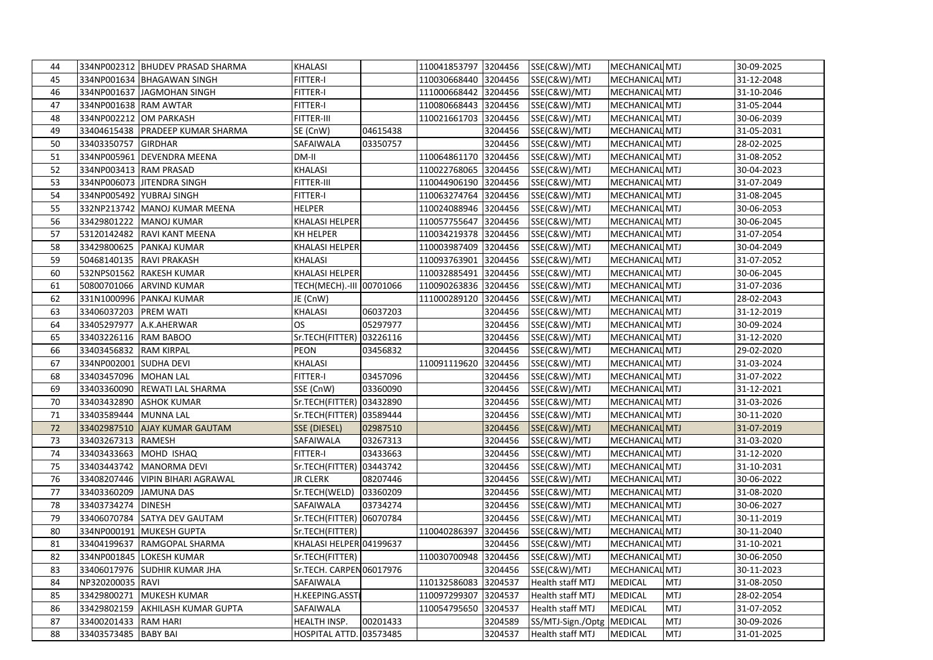| 44 |                        | 334NP002312 BHUDEV PRASAD SHARMA   | <b>KHALASI</b>             |          | 110041853797 3204456 |         | SSE(C&W)/MTJ              | MECHANICAL MTJ        |            | 30-09-2025 |
|----|------------------------|------------------------------------|----------------------------|----------|----------------------|---------|---------------------------|-----------------------|------------|------------|
| 45 |                        | 334NP001634 BHAGAWAN SINGH         | FITTER-I                   |          | 110030668440 3204456 |         | SSE(C&W)/MTJ              | MECHANICAL MTJ        |            | 31-12-2048 |
| 46 |                        | 334NP001637 JAGMOHAN SINGH         | FITTER-I                   |          | 111000668442 3204456 |         | SSE(C&W)/MTJ              | <b>MECHANICAL MTJ</b> |            | 31-10-2046 |
| 47 | 334NP001638 RAM AWTAR  |                                    | FITTER-I                   |          | 110080668443         | 3204456 | SSE(C&W)/MTJ              | MECHANICAL MTJ        |            | 31-05-2044 |
| 48 |                        | 334NP002212 OM PARKASH             | FITTER-III                 |          | 110021661703         | 3204456 | SSE(C&W)/MTJ              | MECHANICAL MTJ        |            | 30-06-2039 |
| 49 |                        | 33404615438 PRADEEP KUMAR SHARMA   | SE (CnW)                   | 04615438 |                      | 3204456 | SSE(C&W)/MTJ              | MECHANICAL MTJ        |            | 31-05-2031 |
| 50 | 33403350757            | <b>GIRDHAR</b>                     | SAFAIWALA                  | 03350757 |                      | 3204456 | SSE(C&W)/MTJ              | MECHANICAL MTJ        |            | 28-02-2025 |
| 51 |                        | 334NP005961 DEVENDRA MEENA         | DM-II                      |          | 110064861170         | 3204456 | SSE(C&W)/MTJ              | <b>MECHANICAL MTJ</b> |            | 31-08-2052 |
| 52 | 334NP003413 RAM PRASAD |                                    | KHALASI                    |          | 110022768065 3204456 |         | SSE(C&W)/MTJ              | MECHANICAL MTJ        |            | 30-04-2023 |
| 53 |                        | 334NP006073 JITENDRA SINGH         | FITTER-III                 |          | 110044906190         | 3204456 | SSE(C&W)/MTJ              | MECHANICAL MTJ        |            | 31-07-2049 |
| 54 |                        | 334NP005492 YUBRAJ SINGH           | FITTER-I                   |          | 110063274764         | 3204456 | SSE(C&W)/MTJ              | MECHANICAL MTJ        |            | 31-08-2045 |
| 55 |                        | 332NP213742   MANOJ KUMAR MEENA    | HELPER                     |          | 110024088946 3204456 |         | SSE(C&W)/MTJ              | MECHANICAL MTJ        |            | 30-06-2053 |
| 56 | 33429801222            | <b>MANOJ KUMAR</b>                 | KHALASI HELPER             |          | 110057755647         | 3204456 | SSE(C&W)/MTJ              | MECHANICAL MTJ        |            | 30-06-2045 |
| 57 | 53120142482            | RAVI KANT MEENA                    | KH HELPER                  |          | 110034219378 3204456 |         | SSE(C&W)/MTJ              | MECHANICAL MTJ        |            | 31-07-2054 |
| 58 |                        | 33429800625 PANKAJ KUMAR           | KHALASI HELPER             |          | 110003987409 3204456 |         | SSE(C&W)/MTJ              | MECHANICAL MTJ        |            | 30-04-2049 |
| 59 |                        | 50468140135 RAVI PRAKASH           | KHALASI                    |          | 110093763901         | 3204456 | SSE(C&W)/MTJ              | MECHANICAL MTJ        |            | 31-07-2052 |
| 60 |                        | 532NPS01562 RAKESH KUMAR           | KHALASI HELPER             |          | 110032885491         | 3204456 | SSE(C&W)/MTJ              | MECHANICAL MTJ        |            | 30-06-2045 |
| 61 |                        | 50800701066 ARVIND KUMAR           | TECH(MECH) .- III 00701066 |          | 110090263836 3204456 |         | SSE(C&W)/MTJ              | MECHANICAL MTJ        |            | 31-07-2036 |
| 62 |                        | 331N1000996 PANKAJ KUMAR           | JE (CnW)                   |          | 111000289120         | 3204456 | SSE(C&W)/MTJ              | MECHANICAL MTJ        |            | 28-02-2043 |
| 63 | 33406037203            | <b>PREM WATI</b>                   | KHALASI                    | 06037203 |                      | 3204456 | SSE(C&W)/MTJ              | MECHANICAL MTJ        |            | 31-12-2019 |
| 64 | 33405297977            | A.K.AHERWAR                        | <b>OS</b>                  | 05297977 |                      | 3204456 | SSE(C&W)/MTJ              | MECHANICAL MTJ        |            | 30-09-2024 |
| 65 | 33403226116 RAM BABOO  |                                    | Sr.TECH(FITTER)            | 03226116 |                      | 3204456 | SSE(C&W)/MTJ              | <b>MECHANICAL MTJ</b> |            | 31-12-2020 |
| 66 | 33403456832            | <b>RAM KIRPAL</b>                  | PEON                       | 03456832 |                      | 3204456 | SSE(C&W)/MTJ              | MECHANICAL MTJ        |            | 29-02-2020 |
| 67 | 334NP002001 SUDHA DEVI |                                    | KHALASI                    |          | 110091119620         | 3204456 | SSE(C&W)/MTJ              | MECHANICAL MTJ        |            | 31-03-2024 |
| 68 | 33403457096            | MOHAN LAL                          | FITTER-I                   | 03457096 |                      | 3204456 | SSE(C&W)/MTJ              | <b>MECHANICAL MTJ</b> |            | 31-07-2022 |
| 69 | 33403360090            | <b>REWATI LAL SHARMA</b>           | SSE (CnW)                  | 03360090 |                      | 3204456 | SSE(C&W)/MTJ              | MECHANICAL MTJ        |            | 31-12-2021 |
| 70 | 33403432890            | <b>ASHOK KUMAR</b>                 | Sr.TECH(FITTER) 03432890   |          |                      | 3204456 | SSE(C&W)/MTJ              | MECHANICAL MTJ        |            | 31-03-2026 |
| 71 | 33403589444            | <b>MUNNA LAL</b>                   | Sr.TECH(FITTER) 03589444   |          |                      | 3204456 | SSE(C&W)/MTJ              | MECHANICAL MTJ        |            | 30-11-2020 |
| 72 | 33402987510            | <b>AJAY KUMAR GAUTAM</b>           | SSE (DIESEL)               | 02987510 |                      | 3204456 | SSE(C&W)/MTJ              | <b>MECHANICAL MTJ</b> |            | 31-07-2019 |
| 73 | 33403267313 RAMESH     |                                    | SAFAIWALA                  | 03267313 |                      | 3204456 | SSE(C&W)/MTJ              | MECHANICAL MTJ        |            | 31-03-2020 |
| 74 | 33403433663            | MOHD ISHAQ                         | FITTER-I                   | 03433663 |                      | 3204456 | SSE(C&W)/MTJ              | MECHANICAL MTJ        |            | 31-12-2020 |
| 75 | 33403443742            | MANORMA DEVI                       | Sr.TECH(FITTER)   03443742 |          |                      | 3204456 | SSE(C&W)/MTJ              | MECHANICAL MTJ        |            | 31-10-2031 |
| 76 |                        | 33408207446   VIPIN BIHARI AGRAWAL | <b>JR CLERK</b>            | 08207446 |                      | 3204456 | SSE(C&W)/MTJ              | MECHANICAL MTJ        |            | 30-06-2022 |
| 77 | 33403360209            | <b>JAMUNA DAS</b>                  | Sr.TECH(WELD)              | 03360209 |                      | 3204456 | SSE(C&W)/MTJ              | <b>MECHANICAL MTJ</b> |            | 31-08-2020 |
| 78 | 33403734274            | <b>DINESH</b>                      | SAFAIWALA                  | 03734274 |                      | 3204456 | SSE(C&W)/MTJ              | MECHANICAL MTJ        |            | 30-06-2027 |
| 79 | 33406070784            | <b>SATYA DEV GAUTAM</b>            | Sr.TECH(FITTER) 06070784   |          |                      | 3204456 | SSE(C&W)/MTJ              | MECHANICAL MTJ        |            | 30-11-2019 |
| 80 |                        | 334NP000191 MUKESH GUPTA           | Sr.TECH(FITTER)            |          | 110040286397         | 3204456 | SSE(C&W)/MTJ              | MECHANICAL MTJ        |            | 30-11-2040 |
| 81 | 33404199637            | RAMGOPAL SHARMA                    | KHALASI HELPER 04199637    |          |                      | 3204456 | SSE(C&W)/MTJ              | MECHANICAL MTJ        |            | 31-10-2021 |
| 82 |                        | 334NP001845 LOKESH KUMAR           | Sr.TECH(FITTER)            |          | 110030700948         | 3204456 | SSE(C&W)/MTJ              | <b>MECHANICAL MTJ</b> |            | 30-06-2050 |
| 83 | 33406017976            | <b>SUDHIR KUMAR JHA</b>            | Sr.TECH. CARPEN 06017976   |          |                      | 3204456 | SSE(C&W)/MTJ              | MECHANICAL MTJ        |            | 30-11-2023 |
| 84 | NP320200035 RAVI       |                                    | SAFAIWALA                  |          | 110132586083         | 3204537 | Health staff MTJ          | <b>MEDICAL</b>        | <b>MTJ</b> | 31-08-2050 |
| 85 | 33429800271            | <b>MUKESH KUMAR</b>                | H.KEEPING.ASST             |          | 110097299307         | 3204537 | Health staff MTJ          | <b>MEDICAL</b>        | MTJ        | 28-02-2054 |
| 86 | 33429802159            | <b>AKHILASH KUMAR GUPTA</b>        | SAFAIWALA                  |          | 110054795650         | 3204537 | Health staff MTJ          | <b>MEDICAL</b>        | <b>MTJ</b> | 31-07-2052 |
| 87 | 33400201433 RAM HARI   |                                    | HEALTH INSP.               | 00201433 |                      | 3204589 | SS/MTJ-Sign./Optg MEDICAL |                       | <b>MTJ</b> | 30-09-2026 |
| 88 | 33403573485 BABY BAI   |                                    | HOSPITAL ATTD. 03573485    |          |                      | 3204537 | Health staff MTJ          | MEDICAL               | <b>MTJ</b> | 31-01-2025 |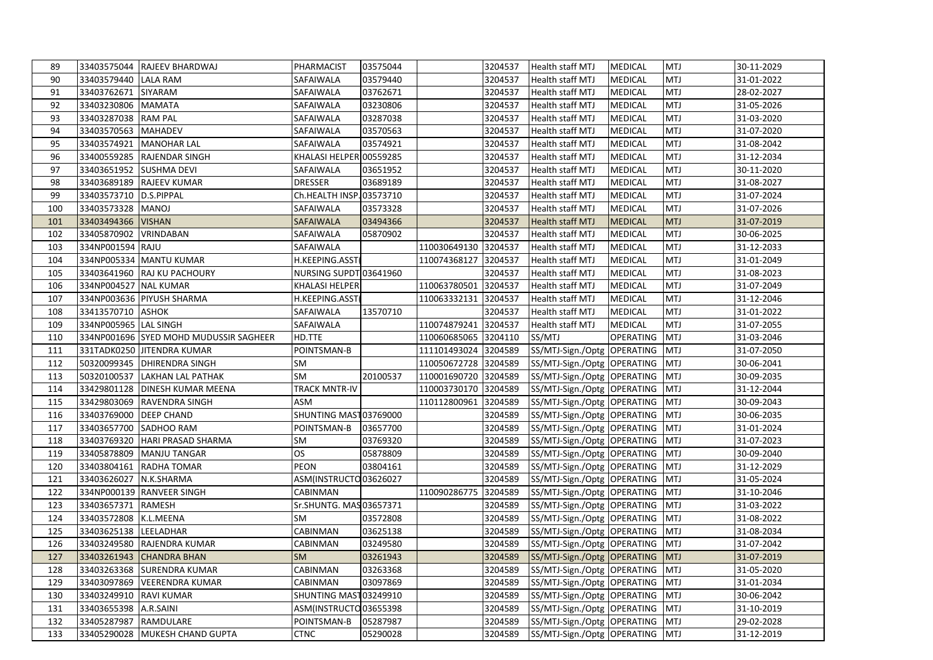| 89  |                          | 33403575044 RAJEEV BHARDWAJ            | PHARMACIST               | 03575044 |              | 3204537 | Health staff MTJ                | <b>MEDICAL</b>   | <b>MTJ</b> | 30-11-2029 |
|-----|--------------------------|----------------------------------------|--------------------------|----------|--------------|---------|---------------------------------|------------------|------------|------------|
| 90  | 33403579440 LALA RAM     |                                        | SAFAIWALA                | 03579440 |              | 3204537 | Health staff MTJ                | MEDICAL          | <b>MTJ</b> | 31-01-2022 |
| 91  | 33403762671 SIYARAM      |                                        | SAFAIWALA                | 03762671 |              | 3204537 | Health staff MTJ                | MEDICAL          | <b>MTJ</b> | 28-02-2027 |
| 92  | 33403230806              | <b>MAMATA</b>                          | SAFAIWALA                | 03230806 |              | 3204537 | Health staff MTJ                | <b>MEDICAL</b>   | <b>MTJ</b> | 31-05-2026 |
| 93  | 33403287038              | <b>RAM PAL</b>                         | SAFAIWALA                | 03287038 |              | 3204537 | Health staff MTJ                | <b>MEDICAL</b>   | <b>MTJ</b> | 31-03-2020 |
| 94  | 33403570563              | <b>MAHADEV</b>                         | SAFAIWALA                | 03570563 |              | 3204537 | <b>Health staff MTJ</b>         | <b>MEDICAL</b>   | <b>MTJ</b> | 31-07-2020 |
| 95  | 33403574921              | <b>MANOHAR LAL</b>                     | SAFAIWALA                | 03574921 |              | 3204537 | Health staff MTJ                | MEDICAL          | <b>MTJ</b> | 31-08-2042 |
| 96  |                          | 33400559285 RAJENDAR SINGH             | KHALASI HELPER 00559285  |          |              | 3204537 | Health staff MTJ                | <b>MEDICAL</b>   | <b>MTJ</b> | 31-12-2034 |
| 97  |                          | 33403651952 SUSHMA DEVI                | SAFAIWALA                | 03651952 |              | 3204537 | Health staff MTJ                | <b>MEDICAL</b>   | <b>MTJ</b> | 30-11-2020 |
| 98  |                          | 33403689189 RAJEEV KUMAR               | <b>DRESSER</b>           | 03689189 |              | 3204537 | Health staff MTJ                | <b>MEDICAL</b>   | MTJ        | 31-08-2027 |
| 99  | 33403573710 D.S.PIPPAL   |                                        | Ch.HEALTH INSP. 03573710 |          |              | 3204537 | Health staff MTJ                | MEDICAL          | <b>MTJ</b> | 31-07-2024 |
| 100 | 33403573328 MANOJ        |                                        | SAFAIWALA                | 03573328 |              | 3204537 | Health staff MTJ                | MEDICAL          | <b>MTJ</b> | 31-07-2026 |
| 101 | 33403494366              | <b>VISHAN</b>                          | SAFAIWALA                | 03494366 |              | 3204537 | <b>Health staff MTJ</b>         | <b>MEDICAL</b>   | <b>MTJ</b> | 31-07-2019 |
| 102 | 33405870902              | VRINDABAN                              | SAFAIWALA                | 05870902 |              | 3204537 | Health staff MTJ                | MEDICAL          | <b>MTJ</b> | 30-06-2025 |
| 103 | 334NP001594 RAJU         |                                        | SAFAIWALA                |          | 110030649130 | 3204537 | <b>Health staff MTJ</b>         | <b>MEDICAL</b>   | <b>MTJ</b> | 31-12-2033 |
| 104 |                          | 334NP005334 MANTU KUMAR                | H.KEEPING.ASST           |          | 110074368127 | 3204537 | Health staff MTJ                | <b>MEDICAL</b>   | <b>MTJ</b> | 31-01-2049 |
| 105 |                          | 33403641960 RAJ KU PACHOURY            | NURSING SUPDT 03641960   |          |              | 3204537 | Health staff MTJ                | MEDICAL          | <b>MTJ</b> | 31-08-2023 |
| 106 | 334NP004527 NAL KUMAR    |                                        | KHALASI HELPER           |          | 110063780501 | 3204537 | <b>Health staff MTJ</b>         | <b>MEDICAL</b>   | <b>MTJ</b> | 31-07-2049 |
| 107 |                          | 334NP003636 PIYUSH SHARMA              | H.KEEPING.ASST           |          | 110063332131 | 3204537 | Health staff MTJ                | <b>MEDICAL</b>   | <b>MTJ</b> | 31-12-2046 |
| 108 | 33413570710 ASHOK        |                                        | SAFAIWALA                | 13570710 |              | 3204537 | Health staff MTJ                | <b>MEDICAL</b>   | <b>MTJ</b> | 31-01-2022 |
| 109 | 334NP005965 LAL SINGH    |                                        | SAFAIWALA                |          | 110074879241 | 3204537 | Health staff MTJ                | <b>MEDICAL</b>   | MTJ        | 31-07-2055 |
| 110 |                          | 334NP001696 SYED MOHD MUDUSSIR SAGHEER | HD.TTE                   |          | 110060685065 | 3204110 | SS/MTJ                          | <b>OPERATING</b> | <b>MTJ</b> | 31-03-2046 |
| 111 |                          | 331TADK0250 JITENDRA KUMAR             | POINTSMAN-B              |          | 111101493024 | 3204589 | SS/MTJ-Sign./Optg OPERATING     |                  | <b>MTJ</b> | 31-07-2050 |
| 112 |                          | 50320099345 DHIRENDRA SINGH            | <b>SM</b>                |          | 110050672728 | 3204589 | SS/MTJ-Sign./Optg OPERATING     |                  | <b>MTJ</b> | 30-06-2041 |
| 113 |                          | 50320100537   LAKHAN LAL PATHAK        | <b>SM</b>                | 20100537 | 110001690720 | 3204589 | SS/MTJ-Sign./Optg OPERATING     |                  | <b>MTJ</b> | 30-09-2035 |
| 114 |                          | 33429801128   DINESH KUMAR MEENA       | TRACK MNTR-IV            |          | 110003730170 | 3204589 | SS/MTJ-Sign./Optg OPERATING     |                  | <b>MTJ</b> | 31-12-2044 |
| 115 |                          | 33429803069 RAVENDRA SINGH             | ASM                      |          | 110112800961 | 3204589 | SS/MTJ-Sign./Optg OPERATING     |                  | <b>MTJ</b> | 30-09-2043 |
| 116 | 33403769000   DEEP CHAND |                                        | SHUNTING MAST03769000    |          |              | 3204589 | SS/MTJ-Sign./Optg OPERATING     |                  | <b>MTJ</b> | 30-06-2035 |
| 117 |                          | 33403657700 SADHOO RAM                 | POINTSMAN-B              | 03657700 |              | 3204589 | SS/MTJ-Sign./Optg OPERATING     |                  | <b>MTJ</b> | 31-01-2024 |
| 118 |                          | 33403769320 HARI PRASAD SHARMA         | SM                       | 03769320 |              | 3204589 | SS/MTJ-Sign./Optg OPERATING     |                  | <b>MTJ</b> | 31-07-2023 |
| 119 | 33405878809              | <b>MANJU TANGAR</b>                    | OS                       | 05878809 |              | 3204589 | SS/MTJ-Sign./Optg OPERATING     |                  | MTJ        | 30-09-2040 |
| 120 |                          | 33403804161 RADHA TOMAR                | PEON                     | 03804161 |              | 3204589 | SS/MTJ-Sign./Optg OPERATING     |                  | <b>MTJ</b> | 31-12-2029 |
| 121 | 33403626027 N.K.SHARMA   |                                        | ASM(INSTRUCTO 03626027   |          |              | 3204589 | SS/MTJ-Sign./Optg OPERATING     |                  | <b>MTJ</b> | 31-05-2024 |
| 122 |                          | 334NP000139 RANVEER SINGH              | CABINMAN                 |          | 110090286775 | 3204589 | SS/MTJ-Sign./Optg OPERATING     |                  | MTJ        | 31-10-2046 |
| 123 | 33403657371              | RAMESH                                 | Sr.SHUNTG. MAS 03657371  |          |              | 3204589 | SS/MTJ-Sign./Optg OPERATING     |                  | <b>MTJ</b> | 31-03-2022 |
| 124 | 33403572808 K.L.MEENA    |                                        | <b>SM</b>                | 03572808 |              | 3204589 | SS/MTJ-Sign./Optg OPERATING     |                  | <b>MTJ</b> | 31-08-2022 |
| 125 | 33403625138              | <b>LEELADHAR</b>                       | CABINMAN                 | 03625138 |              | 3204589 | SS/MTJ-Sign./Optg OPERATING     |                  | <b>MTJ</b> | 31-08-2034 |
| 126 |                          | 33403249580 RAJENDRA KUMAR             | CABINMAN                 | 03249580 |              | 3204589 | SS/MTJ-Sign./Optg OPERATING     |                  | <b>MTJ</b> | 31-07-2042 |
| 127 |                          | 33403261943 CHANDRA BHAN               | <b>SM</b>                | 03261943 |              | 3204589 | SS/MTJ-Sign./Optg OPERATING     |                  | <b>MTJ</b> | 31-07-2019 |
| 128 |                          | 33403263368 SURENDRA KUMAR             | <b>CABINMAN</b>          | 03263368 |              | 3204589 | SS/MTJ-Sign./Optg OPERATING     |                  | <b>MTJ</b> | 31-05-2020 |
| 129 | 33403097869              | <b>VEERENDRA KUMAR</b>                 | CABINMAN                 | 03097869 |              | 3204589 | SS/MTJ-Sign./Optg   OPERATING   |                  | <b>MTJ</b> | 31-01-2034 |
| 130 | 33403249910 RAVI KUMAR   |                                        | SHUNTING MAST03249910    |          |              | 3204589 | SS/MTJ-Sign./Optg OPERATING     |                  | <b>MTJ</b> | 30-06-2042 |
| 131 | 33403655398 A.R.SAINI    |                                        | ASM(INSTRUCTO 03655398   |          |              | 3204589 | SS/MTJ-Sign./Optg OPERATING     |                  | <b>MTJ</b> | 31-10-2019 |
| 132 | 33405287987 RAMDULARE    |                                        | POINTSMAN-B              | 05287987 |              | 3204589 | SS/MTJ-Sign./Optg OPERATING     |                  | <b>MTJ</b> | 29-02-2028 |
| 133 |                          | 33405290028 MUKESH CHAND GUPTA         | <b>CTNC</b>              | 05290028 |              | 3204589 | SS/MTJ-Sign./Optg OPERATING MTJ |                  |            | 31-12-2019 |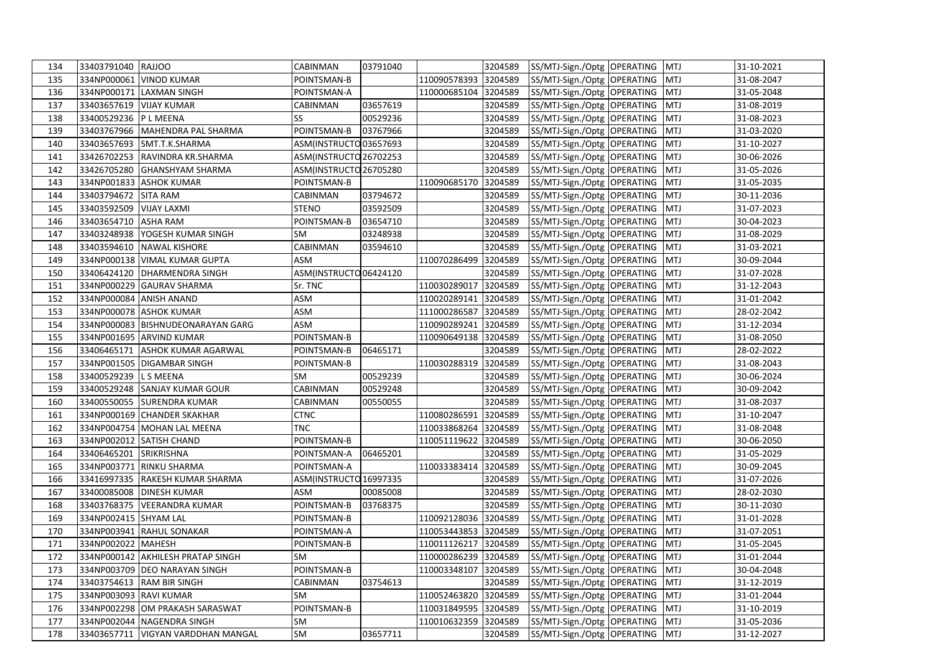| 134 | 33403791040 RAJJOO        |                                      | CABINMAN               | 03791040 |              | 3204589 | SS/MTJ-Sign./Optg OPERATING MTJ |            | 31-10-2021       |
|-----|---------------------------|--------------------------------------|------------------------|----------|--------------|---------|---------------------------------|------------|------------------|
| 135 |                           | 334NP000061 VINOD KUMAR              | POINTSMAN-B            |          | 110090578393 | 3204589 | SS/MTJ-Sign./Optg OPERATING     | <b>MTJ</b> | $31 - 08 - 2047$ |
| 136 |                           | 334NP000171 LAXMAN SINGH             | POINTSMAN-A            |          | 110000685104 | 3204589 | SS/MTJ-Sign./Optg OPERATING     | <b>MTJ</b> | 31-05-2048       |
| 137 | 33403657619   VIJAY KUMAR |                                      | CABINMAN               | 03657619 |              | 3204589 | SS/MTJ-Sign./Optg OPERATING     | <b>MTJ</b> | 31-08-2019       |
| 138 | 33400529236 P L MEENA     |                                      | SS                     | 00529236 |              | 3204589 | SS/MTJ-Sign./Optg OPERATING     | <b>MTJ</b> | 31-08-2023       |
| 139 |                           | 33403767966 MAHENDRA PAL SHARMA      | POINTSMAN-B            | 03767966 |              | 3204589 | SS/MTJ-Sign./Optg OPERATING     | <b>MTJ</b> | 31-03-2020       |
| 140 |                           | 33403657693 SMT.T.K.SHARMA           | ASM(INSTRUCTO 03657693 |          |              | 3204589 | SS/MTJ-Sign./Optg OPERATING     | <b>MTJ</b> | 31-10-2027       |
| 141 |                           | 33426702253 RAVINDRA KR.SHARMA       | ASM(INSTRUCTO 26702253 |          |              | 3204589 | SS/MTJ-Sign./Optg OPERATING     | <b>MTJ</b> | 30-06-2026       |
| 142 |                           | 33426705280 GHANSHYAM SHARMA         | ASM(INSTRUCTO 26705280 |          |              | 3204589 | SS/MTJ-Sign./Optg   OPERATING   | <b>MTJ</b> | 31-05-2026       |
| 143 |                           | 334NP001833 ASHOK KUMAR              | POINTSMAN-B            |          | 110090685170 | 3204589 | SS/MTJ-Sign./Optg OPERATING     | <b>MTJ</b> | 31-05-2035       |
| 144 | 33403794672 SITA RAM      |                                      | CABINMAN               | 03794672 |              | 3204589 | SS/MTJ-Sign./Optg OPERATING     | <b>MTJ</b> | 30-11-2036       |
| 145 | 33403592509   VIJAY LAXMI |                                      | <b>STENO</b>           | 03592509 |              | 3204589 | SS/MTJ-Sign./Optg OPERATING     | <b>MTJ</b> | 31-07-2023       |
| 146 | 33403654710 ASHA RAM      |                                      | POINTSMAN-B            | 03654710 |              | 3204589 | SS/MTJ-Sign./Optg OPERATING     | <b>MTJ</b> | 30-04-2023       |
| 147 | 33403248938               | YOGESH KUMAR SINGH                   | <b>SM</b>              | 03248938 |              | 3204589 | SS/MTJ-Sign./Optg OPERATING     | <b>MTJ</b> | 31-08-2029       |
| 148 |                           | 33403594610 NAWAL KISHORE            | CABINMAN               | 03594610 |              | 3204589 | SS/MTJ-Sign./Optg OPERATING     | <b>MTJ</b> | 31-03-2021       |
| 149 |                           | 334NP000138   VIMAL KUMAR GUPTA      | ASM                    |          | 110070286499 | 3204589 | SS/MTJ-Sign./Optg OPERATING     | <b>MTJ</b> | 30-09-2044       |
| 150 |                           | 33406424120   DHARMENDRA SINGH       | ASM(INSTRUCTO 06424120 |          |              | 3204589 | SS/MTJ-Sign./Optg OPERATING     | <b>MTJ</b> | 31-07-2028       |
| 151 |                           | 334NP000229 GAURAV SHARMA            | Sr. TNC                |          | 110030289017 | 3204589 | SS/MTJ-Sign./Optg   OPERATING   | <b>MTJ</b> | 31-12-2043       |
| 152 |                           | 334NP000084 ANISH ANAND              | ASM                    |          | 110020289141 | 3204589 | SS/MTJ-Sign./Optg OPERATING     | <b>MTJ</b> | 31-01-2042       |
| 153 |                           | 334NP000078 ASHOK KUMAR              | ASM                    |          | 111000286587 | 3204589 | SS/MTJ-Sign./Optg OPERATING     | <b>MTJ</b> | 28-02-2042       |
| 154 |                           | 334NP000083 BISHNUDEONARAYAN GARG    | ASM                    |          | 110090289241 | 3204589 | SS/MTJ-Sign./Optg OPERATING     | <b>MTJ</b> | 31-12-2034       |
| 155 |                           | 334NP001695 ARVIND KUMAR             | POINTSMAN-B            |          | 110090649138 | 3204589 | SS/MTJ-Sign./Optg OPERATING     | <b>MTJ</b> | 31-08-2050       |
| 156 | 33406465171               | <b>ASHOK KUMAR AGARWAL</b>           | POINTSMAN-B            | 06465171 |              | 3204589 | SS/MTJ-Sign./Optg OPERATING     | <b>MTJ</b> | 28-02-2022       |
| 157 |                           | 334NP001505 DIGAMBAR SINGH           | POINTSMAN-B            |          | 110030288319 | 3204589 | SS/MTJ-Sign./Optg OPERATING     | <b>MTJ</b> | 31-08-2043       |
| 158 | 33400529239 LS MEENA      |                                      | <b>SM</b>              | 00529239 |              | 3204589 | SS/MTJ-Sign./Optg OPERATING     | <b>MTJ</b> | 30-06-2024       |
| 159 |                           | 33400529248 SANJAY KUMAR GOUR        | CABINMAN               | 00529248 |              | 3204589 | SS/MTJ-Sign./Optg OPERATING     | <b>MTJ</b> | 30-09-2042       |
| 160 |                           | 33400550055 SURENDRA KUMAR           | CABINMAN               | 00550055 |              | 3204589 | SS/MTJ-Sign./Optg OPERATING     | <b>MTJ</b> | 31-08-2037       |
| 161 |                           | 334NP000169 CHANDER SKAKHAR          | <b>CTNC</b>            |          | 110080286591 | 3204589 | SS/MTJ-Sign./Optg OPERATING     | <b>MTJ</b> | 31-10-2047       |
| 162 |                           | 334NP004754 MOHAN LAL MEENA          | <b>TNC</b>             |          | 110033868264 | 3204589 | SS/MTJ-Sign./Optg OPERATING     | <b>MTJ</b> | 31-08-2048       |
| 163 |                           | 334NP002012 SATISH CHAND             | POINTSMAN-B            |          | 110051119622 | 3204589 | SS/MTJ-Sign./Optg OPERATING     | <b>MTJ</b> | 30-06-2050       |
| 164 | 33406465201 SRIKRISHNA    |                                      | POINTSMAN-A            | 06465201 |              | 3204589 | SS/MTJ-Sign./Optg OPERATING     | <b>MTJ</b> | 31-05-2029       |
| 165 | 334NP003771               | <b>RINKU SHARMA</b>                  | POINTSMAN-A            |          | 110033383414 | 3204589 | SS/MTJ-Sign./Optg OPERATING     | <b>MTJ</b> | 30-09-2045       |
| 166 |                           | 33416997335 RAKESH KUMAR SHARMA      | ASM(INSTRUCTO 16997335 |          |              | 3204589 | SS/MTJ-Sign./Optg OPERATING     | <b>MTJ</b> | 31-07-2026       |
| 167 |                           | 33400085008 DINESH KUMAR             | <b>ASM</b>             | 00085008 |              | 3204589 | SS/MTJ-Sign./Optg OPERATING     | <b>MTJ</b> | 28-02-2030       |
| 168 | 33403768375               | <b>VEERANDRA KUMAR</b>               | POINTSMAN-B            | 03768375 |              | 3204589 | SS/MTJ-Sign./Optg OPERATING     | <b>MTJ</b> | 30-11-2030       |
| 169 | 334NP002415 SHYAM LAL     |                                      | POINTSMAN-B            |          | 110092128036 | 3204589 | SS/MTJ-Sign./Optg OPERATING     | <b>MTJ</b> | 31-01-2028       |
| 170 |                           | 334NP003941 RAHUL SONAKAR            | POINTSMAN-A            |          | 110053443853 | 3204589 | SS/MTJ-Sign./Optg OPERATING     | <b>MTJ</b> | 31-07-2051       |
| 171 | 334NP002022               | <b>MAHESH</b>                        | POINTSMAN-B            |          | 110011126217 | 3204589 | SS/MTJ-Sign./Optg OPERATING     | <b>MTJ</b> | 31-05-2045       |
| 172 |                           | 334NP000142 AKHILESH PRATAP SINGH    | <b>SM</b>              |          | 110000286239 | 3204589 | SS/MTJ-Sign./Optg OPERATING     | <b>MTJ</b> | 31-01-2044       |
| 173 |                           | 334NP003709 DEO NARAYAN SINGH        | POINTSMAN-B            |          | 110003348107 | 3204589 | SS/MTJ-Sign./Optg OPERATING     | <b>MTJ</b> | 30-04-2048       |
| 174 |                           | 33403754613 RAM BIR SINGH            | CABINMAN               | 03754613 |              | 3204589 | SS/MTJ-Sign./Optg   OPERATING   | <b>MTJ</b> | 31-12-2019       |
| 175 | 334NP003093 RAVI KUMAR    |                                      | <b>SM</b>              |          | 110052463820 | 3204589 | SS/MTJ-Sign./Optg OPERATING     | <b>MTJ</b> | 31-01-2044       |
| 176 |                           | 334NP002298 OM PRAKASH SARASWAT      | POINTSMAN-B            |          | 110031849595 | 3204589 | SS/MTJ-Sign./Optg OPERATING     | <b>MTJ</b> | 31-10-2019       |
| 177 |                           | 334NP002044 NAGENDRA SINGH           | SM                     |          | 110010632359 | 3204589 | SS/MTJ-Sign./Optg OPERATING     | <b>MTJ</b> | 31-05-2036       |
| 178 |                           | 33403657711   VIGYAN VARDDHAN MANGAL | SM                     | 03657711 |              | 3204589 | SS/MTJ-Sign./Optg OPERATING MTJ |            | 31-12-2027       |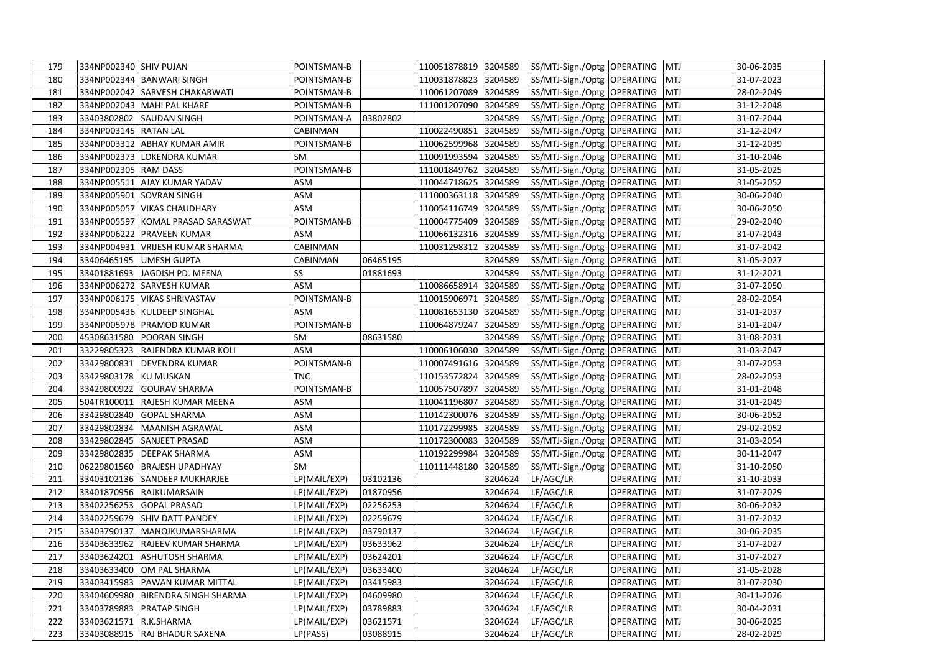| 179 | 334NP002340 SHIV PUJAN |                                    | POINTSMAN-B  |          | 110051878819 3204589 |         | SS/MTJ-Sign./Optg OPERATING MTJ |                  |            | 30-06-2035 |
|-----|------------------------|------------------------------------|--------------|----------|----------------------|---------|---------------------------------|------------------|------------|------------|
| 180 |                        | 334NP002344 BANWARI SINGH          | POINTSMAN-B  |          | 110031878823         | 3204589 | SS/MTJ-Sign./Optg OPERATING     |                  | <b>MTJ</b> | 31-07-2023 |
| 181 |                        | 334NP002042 SARVESH CHAKARWATI     | POINTSMAN-B  |          | 110061207089 3204589 |         | SS/MTJ-Sign./Optg OPERATING     |                  | <b>MTJ</b> | 28-02-2049 |
| 182 |                        | 334NP002043   MAHI PAL KHARE       | POINTSMAN-B  |          | 111001207090         | 3204589 | SS/MTJ-Sign./Optg OPERATING     |                  | <b>MTJ</b> | 31-12-2048 |
| 183 | 33403802802            | <b>SAUDAN SINGH</b>                | POINTSMAN-A  | 03802802 |                      | 3204589 | SS/MTJ-Sign./Optg OPERATING     |                  | <b>MTJ</b> | 31-07-2044 |
| 184 | 334NP003145 RATAN LAL  |                                    | CABINMAN     |          | 110022490851         | 3204589 | SS/MTJ-Sign./Optg OPERATING     |                  | <b>MTJ</b> | 31-12-2047 |
| 185 |                        | 334NP003312 ABHAY KUMAR AMIR       | POINTSMAN-B  |          | 110062599968         | 3204589 | SS/MTJ-Sign./Optg OPERATING     |                  | <b>MTJ</b> | 31-12-2039 |
| 186 |                        | 334NP002373 LOKENDRA KUMAR         | <b>SM</b>    |          | 110091993594         | 3204589 | SS/MTJ-Sign./Optg OPERATING     |                  | <b>MTJ</b> | 31-10-2046 |
| 187 | 334NP002305 RAM DASS   |                                    | POINTSMAN-B  |          | 111001849762 3204589 |         | SS/MTJ-Sign./Optg   OPERATING   |                  | <b>MTJ</b> | 31-05-2025 |
| 188 |                        | 334NP005511 AJAY KUMAR YADAV       | <b>ASM</b>   |          | 110044718625         | 3204589 | SS/MTJ-Sign./Optg   OPERATING   |                  | <b>MTJ</b> | 31-05-2052 |
| 189 |                        | 334NP005901 SOVRAN SINGH           | ASM          |          | 111000363118 3204589 |         | SS/MTJ-Sign./Optg OPERATING     |                  | <b>MTJ</b> | 30-06-2040 |
| 190 |                        | 334NP005057 VIKAS CHAUDHARY        | ASM          |          | 110054116749 3204589 |         | SS/MTJ-Sign./Optg   OPERATING   |                  | <b>MTJ</b> | 30-06-2050 |
| 191 |                        | 334NP005597 KOMAL PRASAD SARASWAT  | POINTSMAN-B  |          | 110004775409         | 3204589 | SS/MTJ-Sign./Optg OPERATING     |                  | <b>MTJ</b> | 29-02-2040 |
| 192 |                        | 334NP006222 PRAVEEN KUMAR          | ASM          |          | 110066132316         | 3204589 | SS/MTJ-Sign./Optg OPERATING     |                  | <b>MTJ</b> | 31-07-2043 |
| 193 |                        | 334NP004931   VRIJESH KUMAR SHARMA | CABINMAN     |          | 110031298312         | 3204589 | SS/MTJ-Sign./Optg   OPERATING   |                  | <b>MTJ</b> | 31-07-2042 |
| 194 | 33406465195            | <b>UMESH GUPTA</b>                 | CABINMAN     | 06465195 |                      | 3204589 | SS/MTJ-Sign./Optg OPERATING     |                  | <b>MTJ</b> | 31-05-2027 |
| 195 | 33401881693            | JAGDISH PD. MEENA                  | SS           | 01881693 |                      | 3204589 | SS/MTJ-Sign./Optg OPERATING     |                  | <b>MTJ</b> | 31-12-2021 |
| 196 |                        | 334NP006272 SARVESH KUMAR          | ASM          |          | 110086658914 3204589 |         | SS/MTJ-Sign./Optg OPERATING     |                  | <b>MTJ</b> | 31-07-2050 |
| 197 |                        | 334NP006175 VIKAS SHRIVASTAV       | POINTSMAN-B  |          | 110015906971 3204589 |         | SS/MTJ-Sign./Optg OPERATING     |                  | <b>MTJ</b> | 28-02-2054 |
| 198 |                        | 334NP005436 KULDEEP SINGHAL        | <b>ASM</b>   |          | 110081653130         | 3204589 | SS/MTJ-Sign./Optg OPERATING     |                  | <b>MTJ</b> | 31-01-2037 |
| 199 |                        | 334NP005978 PRAMOD KUMAR           | POINTSMAN-B  |          | 110064879247         | 3204589 | SS/MTJ-Sign./Optg   OPERATING   |                  | <b>MTJ</b> | 31-01-2047 |
| 200 | 45308631580            | <b>POORAN SINGH</b>                | SM           | 08631580 |                      | 3204589 | SS/MTJ-Sign./Optg   OPERATING   |                  | <b>MTJ</b> | 31-08-2031 |
| 201 | 33229805323            | <b>RAJENDRA KUMAR KOLI</b>         | ASM          |          | 110006106030         | 3204589 | SS/MTJ-Sign./Optg   OPERATING   |                  | <b>MTJ</b> | 31-03-2047 |
| 202 |                        | 33429800831 DEVENDRA KUMAR         | POINTSMAN-B  |          | 110007491616 3204589 |         | SS/MTJ-Sign./Optg OPERATING     |                  | <b>MTJ</b> | 31-07-2053 |
| 203 | 33429803178 KU MUSKAN  |                                    | <b>TNC</b>   |          | 110153572824         | 3204589 | SS/MTJ-Sign./Optg OPERATING     |                  | <b>MTJ</b> | 28-02-2053 |
| 204 |                        | 33429800922 GOURAV SHARMA          | POINTSMAN-B  |          | 110057507897         | 3204589 | SS/MTJ-Sign./Optg OPERATING     |                  | <b>MTJ</b> | 31-01-2048 |
| 205 |                        | 504TR100011 RAJESH KUMAR MEENA     | ASM          |          | 110041196807 3204589 |         | SS/MTJ-Sign./Optg OPERATING     |                  | <b>MTJ</b> | 31-01-2049 |
| 206 | 33429802840            | <b>GOPAL SHARMA</b>                | <b>ASM</b>   |          | 110142300076         | 3204589 | SS/MTJ-Sign./Optg OPERATING     |                  | <b>MTJ</b> | 30-06-2052 |
| 207 | 33429802834            | MAANISH AGRAWAL                    | ASM          |          | 110172299985         | 3204589 | SS/MTJ-Sign./Optg OPERATING     |                  | <b>MTJ</b> | 29-02-2052 |
| 208 | 33429802845            | <b>SANJEET PRASAD</b>              | ASM          |          | 110172300083         | 3204589 | SS/MTJ-Sign./Optg OPERATING     |                  | <b>MTJ</b> | 31-03-2054 |
| 209 |                        | 33429802835 DEEPAK SHARMA          | ASM          |          | 110192299984         | 3204589 | SS/MTJ-Sign./Optg   OPERATING   |                  | <b>MTJ</b> | 30-11-2047 |
| 210 |                        | 06229801560 BRAJESH UPADHYAY       | SM           |          | 110111448180         | 3204589 | SS/MTJ-Sign./Optg OPERATING     |                  | <b>MTJ</b> | 31-10-2050 |
| 211 | 33403102136            | <b>SANDEEP MUKHARJEE</b>           | LP(MAIL/EXP) | 03102136 |                      | 3204624 | LF/AGC/LR                       | OPERATING        | <b>MTJ</b> | 31-10-2033 |
| 212 |                        | 33401870956 RAJKUMARSAIN           | LP(MAIL/EXP) | 01870956 |                      | 3204624 | LF/AGC/LR                       | OPERATING        | <b>MTJ</b> | 31-07-2029 |
| 213 | 33402256253            | <b>GOPAL PRASAD</b>                | LP(MAIL/EXP) | 02256253 |                      | 3204624 | LF/AGC/LR                       | <b>OPERATING</b> | <b>MTJ</b> | 30-06-2032 |
| 214 | 33402259679            | <b>SHIV DATT PANDEY</b>            | LP(MAIL/EXP) | 02259679 |                      | 3204624 | LF/AGC/LR                       | OPERATING        | <b>MTJ</b> | 31-07-2032 |
| 215 | 33403790137            | <b>MANOJKUMARSHARMA</b>            | LP(MAIL/EXP) | 03790137 |                      | 3204624 | LF/AGC/LR                       | OPERATING        | <b>MTJ</b> | 30-06-2035 |
| 216 | 33403633962            | <b>RAJEEV KUMAR SHARMA</b>         | LP(MAIL/EXP) | 03633962 |                      | 3204624 | LF/AGC/LR                       | OPERATING        | <b>MTJ</b> | 31-07-2027 |
| 217 | 33403624201            | <b>ASHUTOSH SHARMA</b>             | LP(MAIL/EXP) | 03624201 |                      | 3204624 | LF/AGC/LR                       | OPERATING        | <b>MTJ</b> | 31-07-2027 |
| 218 | 33403633400            | OM PAL SHARMA                      | LP(MAIL/EXP) | 03633400 |                      | 3204624 | LF/AGC/LR                       | OPERATING        | <b>MTJ</b> | 31-05-2028 |
| 219 | 33403415983            | PAWAN KUMAR MITTAL                 | LP(MAIL/EXP) | 03415983 |                      | 3204624 | LF/AGC/LR                       | OPERATING        | <b>MTJ</b> | 31-07-2030 |
| 220 | 33404609980            | <b>BIRENDRA SINGH SHARMA</b>       | LP(MAIL/EXP) | 04609980 |                      | 3204624 | LF/AGC/LR                       | OPERATING        | <b>MTJ</b> | 30-11-2026 |
| 221 | 33403789883            | <b>PRATAP SINGH</b>                | LP(MAIL/EXP) | 03789883 |                      | 3204624 | LF/AGC/LR                       | OPERATING        | <b>MTJ</b> | 30-04-2031 |
| 222 | 33403621571 R.K.SHARMA |                                    | LP(MAIL/EXP) | 03621571 |                      | 3204624 | LF/AGC/LR                       | OPERATING        | <b>MTJ</b> | 30-06-2025 |
| 223 |                        | 33403088915 RAJ BHADUR SAXENA      | LP(PASS)     | 03088915 |                      | 3204624 | LF/AGC/LR                       | OPERATING        | <b>MTJ</b> | 28-02-2029 |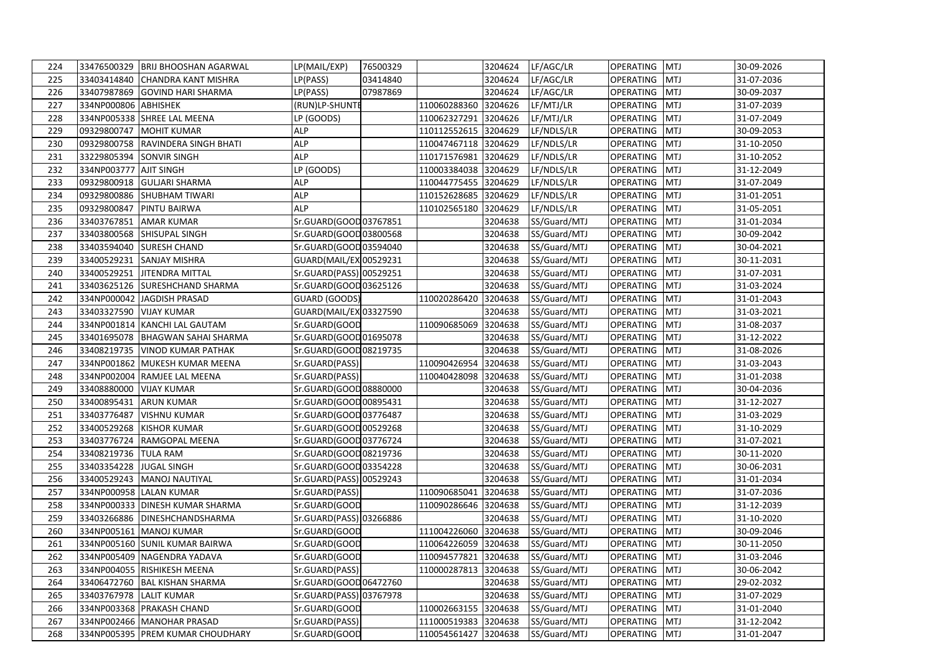| 224 |                        | 33476500329 BRIJ BHOOSHAN AGARWAL | LP(MAIL/EXP)            | 76500329 |                      | 3204624 | LF/AGC/LR    | <b>OPERATING</b> | <b>MTJ</b> | 30-09-2026 |
|-----|------------------------|-----------------------------------|-------------------------|----------|----------------------|---------|--------------|------------------|------------|------------|
| 225 | 33403414840            | <b>CHANDRA KANT MISHRA</b>        | LP(PASS)                | 03414840 |                      | 3204624 | LF/AGC/LR    | OPERATING        | <b>MTJ</b> | 31-07-2036 |
| 226 |                        | 33407987869 GOVIND HARI SHARMA    | LP(PASS)                | 07987869 |                      | 3204624 | LF/AGC/LR    | OPERATING        | <b>MTJ</b> | 30-09-2037 |
| 227 | 334NP000806 ABHISHEK   |                                   | (RUN)LP-SHUNTE          |          | 110060288360         | 3204626 | LF/MTJ/LR    | OPERATING        | <b>MTJ</b> | 31-07-2039 |
| 228 |                        | 334NP005338 SHREE LAL MEENA       | LP (GOODS)              |          | 110062327291         | 3204626 | LF/MTJ/LR    | <b>OPERATING</b> | <b>MTJ</b> | 31-07-2049 |
| 229 | 09329800747            | <b>MOHIT KUMAR</b>                | <b>ALP</b>              |          | 110112552615 3204629 |         | LF/NDLS/LR   | OPERATING        | MTJ        | 30-09-2053 |
| 230 | 09329800758            | RAVINDERA SINGH BHATI             | <b>ALP</b>              |          | 110047467118         | 3204629 | LF/NDLS/LR   | OPERATING        | MTJ        | 31-10-2050 |
| 231 | 33229805394            | <b>SONVIR SINGH</b>               | <b>ALP</b>              |          | 110171576981         | 3204629 | LF/NDLS/LR   | OPERATING        | <b>MTJ</b> | 31-10-2052 |
| 232 | 334NP003777 AJIT SINGH |                                   | LP (GOODS)              |          | 110003384038 3204629 |         | LF/NDLS/LR   | OPERATING        | MTJ        | 31-12-2049 |
| 233 | 09329800918            | <b>GULJARI SHARMA</b>             | <b>ALP</b>              |          | 110044775455         | 3204629 | LF/NDLS/LR   | OPERATING        | MTJ        | 31-07-2049 |
| 234 | 09329800886            | <b>SHUBHAM TIWARI</b>             | ALP                     |          | 110152628685         | 3204629 | LF/NDLS/LR   | OPERATING        | <b>MTJ</b> | 31-01-2051 |
| 235 | 09329800847            | <b>PINTU BAIRWA</b>               | <b>ALP</b>              |          | 110102565180         | 3204629 | LF/NDLS/LR   | OPERATING        | <b>MTJ</b> | 31-05-2051 |
| 236 | 33403767851            | <b>AMAR KUMAR</b>                 | Sr.GUARD(GOOD 03767851  |          |                      | 3204638 | SS/Guard/MTJ | OPERATING        | MTJ        | 31-01-2034 |
| 237 | 33403800568            | <b>SHISUPAL SINGH</b>             | Sr.GUARD(GOOD 03800568  |          |                      | 3204638 | SS/Guard/MTJ | <b>OPERATING</b> | <b>MTJ</b> | 30-09-2042 |
| 238 | 33403594040            | <b>SURESH CHAND</b>               | Sr.GUARD(GOOD 03594040  |          |                      | 3204638 | SS/Guard/MTJ | OPERATING        | MTJ        | 30-04-2021 |
| 239 | 33400529231            | <b>SANJAY MISHRA</b>              | GUARD(MAIL/EX 00529231  |          |                      | 3204638 | SS/Guard/MTJ | OPERATING        | MTJ        | 30-11-2031 |
| 240 | 33400529251            | <b>JITENDRA MITTAL</b>            | Sr.GUARD(PASS) 00529251 |          |                      | 3204638 | SS/Guard/MTJ | OPERATING        | <b>MTJ</b> | 31-07-2031 |
| 241 | 33403625126            | <b>SURESHCHAND SHARMA</b>         | Sr.GUARD(GOOD 03625126  |          |                      | 3204638 | SS/Guard/MTJ | <b>OPERATING</b> | MTJ        | 31-03-2024 |
| 242 |                        | 334NP000042 JAGDISH PRASAD        | GUARD (GOODS)           |          | 110020286420         | 3204638 | SS/Guard/MTJ | <b>OPERATING</b> | <b>MTJ</b> | 31-01-2043 |
| 243 | 33403327590            | <b>VIJAY KUMAR</b>                | GUARD(MAIL/EX 03327590  |          |                      | 3204638 | SS/Guard/MTJ | OPERATING        | MTJ        | 31-03-2021 |
| 244 |                        | 334NP001814 KANCHI LAL GAUTAM     | Sr.GUARD(GOOD           |          | 110090685069         | 3204638 | SS/Guard/MTJ | <b>OPERATING</b> | MTJ        | 31-08-2037 |
| 245 | 33401695078            | <b>BHAGWAN SAHAI SHARMA</b>       | Sr.GUARD(GOOD 01695078  |          |                      | 3204638 | SS/Guard/MTJ | OPERATING        | <b>MTJ</b> | 31-12-2022 |
| 246 | 33408219735            | <b>VINOD KUMAR PATHAK</b>         | Sr.GUARD(GOOD 08219735  |          |                      | 3204638 | SS/Guard/MTJ | OPERATING        | MTJ        | 31-08-2026 |
| 247 |                        | 334NP001862 MUKESH KUMAR MEENA    | Sr.GUARD(PASS)          |          | 110090426954         | 3204638 | SS/Guard/MTJ | OPERATING        | MTJ        | 31-03-2043 |
| 248 |                        | 334NP002004 RAMJEE LAL MEENA      | Sr.GUARD(PASS)          |          | 110040428098         | 3204638 | SS/Guard/MTJ | OPERATING        | <b>MTJ</b> | 31-01-2038 |
| 249 | 33408880000            | <b>VIJAY KUMAR</b>                | Sr.GUARD(GOOD 08880000  |          |                      | 3204638 | SS/Guard/MTJ | OPERATING        | <b>MTJ</b> | 30-04-2036 |
| 250 | 33400895431            | <b>ARUN KUMAR</b>                 | Sr.GUARD(GOOD 00895431  |          |                      | 3204638 | SS/Guard/MTJ | <b>OPERATING</b> | <b>MTJ</b> | 31-12-2027 |
| 251 | 33403776487            | <b>VISHNU KUMAR</b>               | Sr.GUARD(GOOD 03776487  |          |                      | 3204638 | SS/Guard/MTJ | OPERATING        | <b>MTJ</b> | 31-03-2029 |
| 252 | 33400529268            | <b>KISHOR KUMAR</b>               | Sr.GUARD(GOOD 00529268  |          |                      | 3204638 | SS/Guard/MTJ | <b>OPERATING</b> | <b>MTJ</b> | 31-10-2029 |
| 253 | 33403776724            | <b>RAMGOPAL MEENA</b>             | Sr.GUARD(GOOD 03776724  |          |                      | 3204638 | SS/Guard/MTJ | OPERATING        | <b>MTJ</b> | 31-07-2021 |
| 254 | 33408219736 TULA RAM   |                                   | Sr.GUARD(GOOD 08219736  |          |                      | 3204638 | SS/Guard/MTJ | OPERATING        | MTJ        | 30-11-2020 |
| 255 | 33403354228            | <b>JUGAL SINGH</b>                | Sr.GUARD(GOOD 03354228  |          |                      | 3204638 | SS/Guard/MTJ | OPERATING        | <b>MTJ</b> | 30-06-2031 |
| 256 | 33400529243            | MANOJ NAUTIYAL                    | Sr.GUARD(PASS) 00529243 |          |                      | 3204638 | SS/Guard/MTJ | OPERATING        | <b>MTJ</b> | 31-01-2034 |
| 257 |                        | 334NP000958 LALAN KUMAR           | Sr.GUARD(PASS)          |          | 110090685041         | 3204638 | SS/Guard/MTJ | OPERATING        | <b>MTJ</b> | 31-07-2036 |
| 258 |                        | 334NP000333 DINESH KUMAR SHARMA   | Sr.GUARD(GOOD           |          | 110090286646         | 3204638 | SS/Guard/MTJ | OPERATING        | <b>MTJ</b> | 31-12-2039 |
| 259 |                        | 33403266886 DINESHCHANDSHARMA     | Sr.GUARD(PASS) 03266886 |          |                      | 3204638 | SS/Guard/MTJ | OPERATING        | MTJ        | 31-10-2020 |
| 260 |                        | 334NP005161 MANOJ KUMAR           | Sr.GUARD(GOOD           |          | 111004226060         | 3204638 | SS/Guard/MTJ | <b>OPERATING</b> | MTJ        | 30-09-2046 |
| 261 |                        | 334NP005160 SUNIL KUMAR BAIRWA    | Sr.GUARD(GOOD           |          | 110064226059         | 3204638 | SS/Guard/MTJ | OPERATING        | MTJ        | 30-11-2050 |
| 262 |                        | 334NP005409 NAGENDRA YADAVA       | Sr.GUARD(GOOD           |          | 110094577821 3204638 |         | SS/Guard/MTJ | OPERATING        | MTJ        | 31-03-2046 |
| 263 |                        | 334NP004055 RISHIKESH MEENA       | Sr.GUARD(PASS)          |          | 110000287813         | 3204638 | SS/Guard/MTJ | OPERATING        | <b>MTJ</b> | 30-06-2042 |
| 264 | 33406472760            | <b>BAL KISHAN SHARMA</b>          | Sr.GUARD(GOOD 06472760  |          |                      | 3204638 | SS/Guard/MTJ | OPERATING        | <b>MTJ</b> | 29-02-2032 |
| 265 | 33403767978            | <b>LALIT KUMAR</b>                | Sr.GUARD(PASS) 03767978 |          |                      | 3204638 | SS/Guard/MTJ | OPERATING        | <b>MTJ</b> | 31-07-2029 |
| 266 |                        | 334NP003368 PRAKASH CHAND         | Sr.GUARD(GOOD           |          | 110002663155 3204638 |         | SS/Guard/MTJ | OPERATING        | MTJ        | 31-01-2040 |
| 267 |                        | 334NP002466 MANOHAR PRASAD        | Sr.GUARD(PASS)          |          | 111000519383 3204638 |         | SS/Guard/MTJ | <b>OPERATING</b> | <b>MTJ</b> | 31-12-2042 |
| 268 |                        | 334NP005395 PREM KUMAR CHOUDHARY  | Sr.GUARD(GOOD           |          | 110054561427 3204638 |         | SS/Guard/MTJ | OPERATING        | <b>MTJ</b> | 31-01-2047 |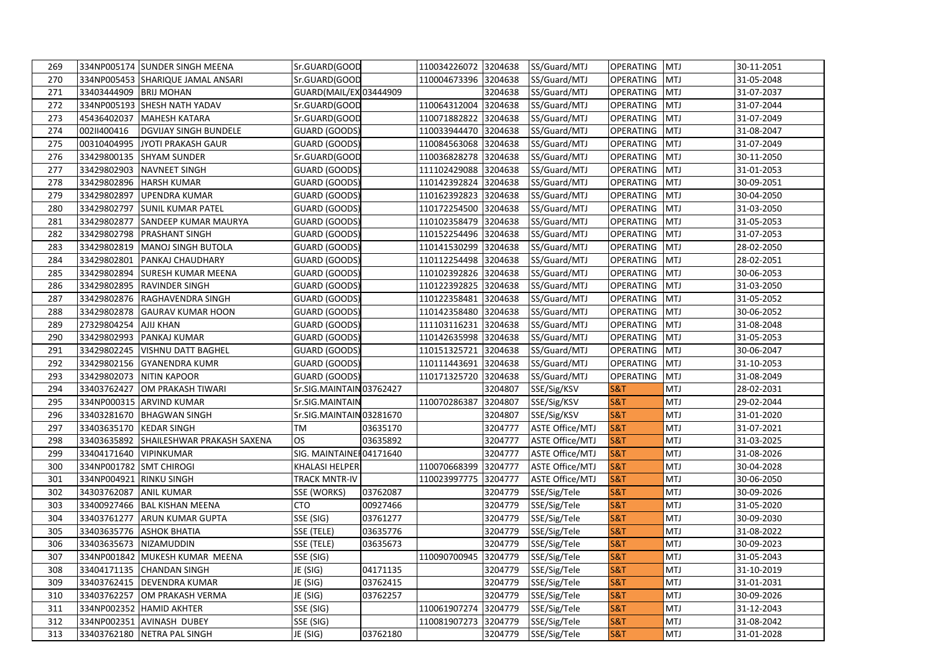| 269 |                         | 334NP005174 SUNDER SINGH MEENA    | Sr.GUARD(GOOD           |          | 110034226072 3204638 |         | SS/Guard/MTJ           | <b>OPERATING MTJ</b> |            | 30-11-2051 |
|-----|-------------------------|-----------------------------------|-------------------------|----------|----------------------|---------|------------------------|----------------------|------------|------------|
| 270 |                         | 334NP005453 SHARIQUE JAMAL ANSARI | Sr.GUARD(GOOD           |          | 110004673396         | 3204638 | SS/Guard/MTJ           | OPERATING            | <b>MTJ</b> | 31-05-2048 |
| 271 | 33403444909 BRIJ MOHAN  |                                   | GUARD(MAIL/EX 03444909  |          |                      | 3204638 | SS/Guard/MTJ           | OPERATING            | <b>MTJ</b> | 31-07-2037 |
| 272 |                         | 334NP005193 SHESH NATH YADAV      | Sr.GUARD(GOOD           |          | 110064312004 3204638 |         | SS/Guard/MTJ           | OPERATING            | <b>MTJ</b> | 31-07-2044 |
| 273 | 45436402037             | <b>MAHESH KATARA</b>              | Sr.GUARD(GOOD           |          | 110071882822         | 3204638 | SS/Guard/MTJ           | OPERATING            | <b>MTJ</b> | 31-07-2049 |
| 274 | 00211400416             | <b>DGVIJAY SINGH BUNDELE</b>      | GUARD (GOODS)           |          | 110033944470 3204638 |         | SS/Guard/MTJ           | <b>OPERATING</b>     | <b>MTJ</b> | 31-08-2047 |
| 275 | 00310404995             | JYOTI PRAKASH GAUR                | GUARD (GOODS)           |          | 110084563068         | 3204638 | SS/Guard/MTJ           | OPERATING            | <b>MTJ</b> | 31-07-2049 |
| 276 | 33429800135             | <b>SHYAM SUNDER</b>               | Sr.GUARD(GOOD           |          | 110036828278         | 3204638 | SS/Guard/MTJ           | OPERATING            | <b>MTJ</b> | 30-11-2050 |
| 277 | 33429802903             | <b>NAVNEET SINGH</b>              | GUARD (GOODS)           |          | 111102429088 3204638 |         | SS/Guard/MTJ           | <b>OPERATING</b>     | <b>MTJ</b> | 31-01-2053 |
| 278 | 33429802896             | <b>HARSH KUMAR</b>                | GUARD (GOODS)           |          | 110142392824 3204638 |         | SS/Guard/MTJ           | <b>OPERATING</b>     | <b>MTJ</b> | 30-09-2051 |
| 279 | 33429802897             | <b>UPENDRA KUMAR</b>              | GUARD (GOODS)           |          | 110162392823         | 3204638 | SS/Guard/MTJ           | <b>OPERATING</b>     | <b>MTJ</b> | 30-04-2050 |
| 280 | 33429802797             | <b>SUNIL KUMAR PATEL</b>          | GUARD (GOODS)           |          | 110172254500 3204638 |         | SS/Guard/MTJ           | OPERATING            | <b>MTJ</b> | 31-03-2050 |
| 281 | 33429802877             | <b>SANDEEP KUMAR MAURYA</b>       | GUARD (GOODS)           |          | 110102358479 3204638 |         | SS/Guard/MTJ           | OPERATING            | <b>MTJ</b> | 31-05-2053 |
| 282 | 33429802798             | <b>PRASHANT SINGH</b>             | GUARD (GOODS)           |          | 110152254496 3204638 |         | SS/Guard/MTJ           | OPERATING            | <b>MTJ</b> | 31-07-2053 |
| 283 |                         | 33429802819   MANOJ SINGH BUTOLA  | GUARD (GOODS)           |          | 110141530299 3204638 |         | SS/Guard/MTJ           | <b>OPERATING</b>     | <b>MTJ</b> | 28-02-2050 |
| 284 | 33429802801             | PANKAJ CHAUDHARY                  | GUARD (GOODS)           |          | 110112254498         | 3204638 | SS/Guard/MTJ           | OPERATING            | <b>MTJ</b> | 28-02-2051 |
| 285 | 33429802894             | <b>SURESH KUMAR MEENA</b>         | GUARD (GOODS)           |          | 110102392826 3204638 |         | SS/Guard/MTJ           | OPERATING            | <b>MTJ</b> | 30-06-2053 |
| 286 | 33429802895             | <b>RAVINDER SINGH</b>             | GUARD (GOODS)           |          | 110122392825 3204638 |         | SS/Guard/MTJ           | <b>OPERATING</b>     | <b>MTJ</b> | 31-03-2050 |
| 287 | 33429802876             | RAGHAVENDRA SINGH                 | GUARD (GOODS)           |          | 110122358481 3204638 |         | SS/Guard/MTJ           | OPERATING            | <b>MTJ</b> | 31-05-2052 |
| 288 | 33429802878             | <b>GAURAV KUMAR HOON</b>          | GUARD (GOODS)           |          | 110142358480         | 3204638 | SS/Guard/MTJ           | OPERATING            | <b>MTJ</b> | 30-06-2052 |
| 289 | 27329804254             | <b>AJIJ KHAN</b>                  | GUARD (GOODS)           |          | 111103116231 3204638 |         | SS/Guard/MTJ           | <b>OPERATING</b>     | <b>MTJ</b> | 31-08-2048 |
| 290 | 33429802993             | <b>PANKAJ KUMAR</b>               | GUARD (GOODS)           |          | 110142635998 3204638 |         | SS/Guard/MTJ           | OPERATING            | <b>MTJ</b> | 31-05-2053 |
| 291 | 33429802245             | <b>VISHNU DATT BAGHEL</b>         | GUARD (GOODS)           |          | 110151325721         | 3204638 | SS/Guard/MTJ           | <b>OPERATING</b>     | <b>MTJ</b> | 30-06-2047 |
| 292 | 33429802156             | <b>GYANENDRA KUMR</b>             | GUARD (GOODS)           |          | 110111443691         | 3204638 | SS/Guard/MTJ           | <b>OPERATING</b>     | <b>MTJ</b> | 31-10-2053 |
| 293 | 33429802073             | <b>NITIN KAPOOR</b>               | GUARD (GOODS)           |          | 110171325720         | 3204638 | SS/Guard/MTJ           | <b>OPERATING</b>     | <b>MTJ</b> | 31-08-2049 |
| 294 | 33403762427             | OM PRAKASH TIWARI                 | Sr.SIG.MAINTAIN03762427 |          |                      | 3204807 | SSE/Sig/KSV            | <b>S&amp;T</b>       | MTJ        | 28-02-2031 |
| 295 |                         | 334NP000315 ARVIND KUMAR          | Sr.SIG.MAINTAIN         |          | 110070286387         | 3204807 | SSE/Sig/KSV            | <b>S&amp;T</b>       | MTJ        | 29-02-2044 |
| 296 |                         | 33403281670 BHAGWAN SINGH         | Sr.SIG.MAINTAIN03281670 |          |                      | 3204807 | SSE/Sig/KSV            | <b>S&amp;T</b>       | MTJ        | 31-01-2020 |
| 297 | 33403635170             | <b>KEDAR SINGH</b>                | ТM                      | 03635170 |                      | 3204777 | <b>ASTE Office/MTJ</b> | <b>S&amp;T</b>       | MTJ        | 31-07-2021 |
| 298 | 33403635892             | SHAILESHWAR PRAKASH SAXENA        | OS                      | 03635892 |                      | 3204777 | <b>ASTE Office/MTJ</b> | <b>S&amp;T</b>       | MTJ        | 31-03-2025 |
| 299 | 33404171640             | <b>VIPINKUMAR</b>                 | SIG. MAINTAINE 04171640 |          |                      | 3204777 | <b>ASTE Office/MTJ</b> | <b>S&amp;T</b>       | MTJ        | 31-08-2026 |
| 300 | 334NP001782 SMT CHIROGI |                                   | KHALASI HELPER          |          | 110070668399         | 3204777 | <b>ASTE Office/MTJ</b> | <b>S&amp;T</b>       | MTJ        | 30-04-2028 |
| 301 | 334NP004921 RINKU SINGH |                                   | <b>TRACK MNTR-IV</b>    |          | 110023997775         | 3204777 | <b>ASTE Office/MTJ</b> | S&T                  | MTJ        | 30-06-2050 |
| 302 | 34303762087             | <b>ANIL KUMAR</b>                 | <b>SSE (WORKS)</b>      | 03762087 |                      | 3204779 | SSE/Sig/Tele           | <b>S&amp;T</b>       | MTJ        | 30-09-2026 |
| 303 | 33400927466             | <b>BAL KISHAN MEENA</b>           | <b>CTO</b>              | 00927466 |                      | 3204779 | SSE/Sig/Tele           | <b>S&amp;T</b>       | MTJ        | 31-05-2020 |
| 304 | 33403761277             | <b>ARUN KUMAR GUPTA</b>           | SSE (SIG)               | 03761277 |                      | 3204779 | SSE/Sig/Tele           | S&T                  | MTJ        | 30-09-2030 |
| 305 | 33403635776             | <b>ASHOK BHATIA</b>               | SSE (TELE)              | 03635776 |                      | 3204779 | SSE/Sig/Tele           | <b>S&amp;T</b>       | MTJ        | 31-08-2022 |
| 306 | 33403635673             | NIZAMUDDIN                        | SSE (TELE)              | 03635673 |                      | 3204779 | SSE/Sig/Tele           | <b>S&amp;T</b>       | MTJ        | 30-09-2023 |
| 307 |                         | 334NP001842 MUKESH KUMAR MEENA    | SSE (SIG)               |          | 110090700945         | 3204779 | SSE/Sig/Tele           | S&T                  | MTJ        | 31-05-2043 |
| 308 | 33404171135             | <b>CHANDAN SINGH</b>              | JE (SIG)                | 04171135 |                      | 3204779 | SSE/Sig/Tele           | <b>S&amp;T</b>       | MTJ        | 31-10-2019 |
| 309 | 33403762415             | <b>DEVENDRA KUMAR</b>             | JE (SIG)                | 03762415 |                      | 3204779 | SSE/Sig/Tele           | <b>S&amp;T</b>       | MTJ        | 31-01-2031 |
| 310 | 33403762257             | OM PRAKASH VERMA                  | JE (SIG)                | 03762257 |                      | 3204779 | SSE/Sig/Tele           | <b>S&amp;T</b>       | MTJ        | 30-09-2026 |
| 311 |                         | 334NP002352 HAMID AKHTER          | SSE (SIG)               |          | 110061907274         | 3204779 | SSE/Sig/Tele           | <b>S&amp;T</b>       | MTJ        | 31-12-2043 |
| 312 |                         | 334NP002351 AVINASH DUBEY         | SSE (SIG)               |          | 110081907273         | 3204779 | SSE/Sig/Tele           | <b>S&amp;T</b>       | MTJ        | 31-08-2042 |
| 313 |                         | 33403762180 NETRA PAL SINGH       | JE (SIG)                | 03762180 |                      | 3204779 | SSE/Sig/Tele           | <b>S&amp;T</b>       | <b>MTJ</b> | 31-01-2028 |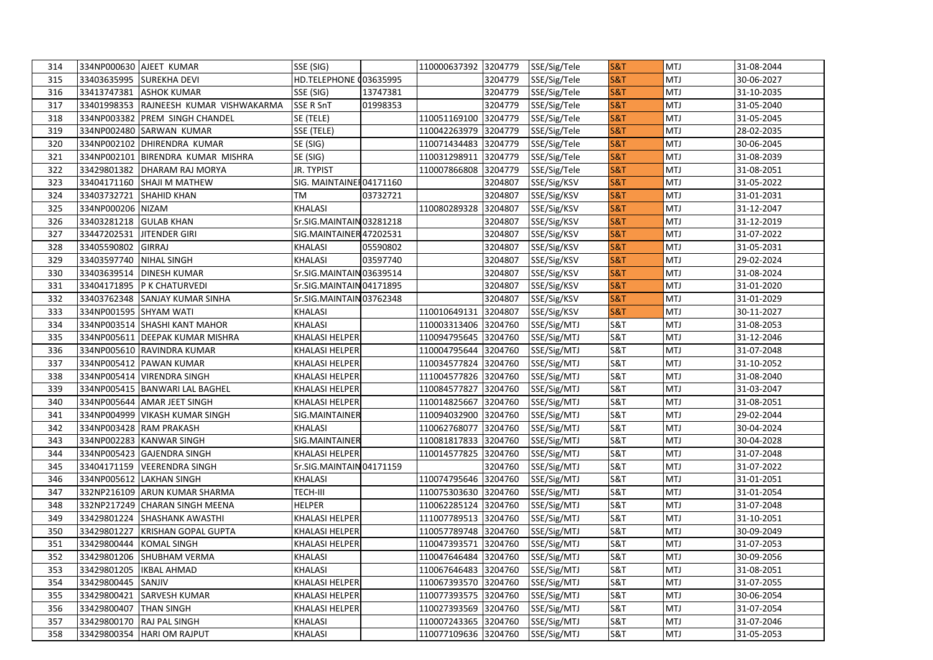| 314 |                         | 334NP000630 AJEET KUMAR                | SSE (SIG)                |          | 110000637392 3204779 |         | SSE/Sig/Tele | S&T            | <b>MTJ</b> | 31-08-2044 |
|-----|-------------------------|----------------------------------------|--------------------------|----------|----------------------|---------|--------------|----------------|------------|------------|
| 315 |                         | 33403635995 SUREKHA DEVI               | HD.TELEPHONE (03635995   |          |                      | 3204779 | SSE/Sig/Tele | <b>S&amp;T</b> | MTJ        | 30-06-2027 |
| 316 |                         | 33413747381 ASHOK KUMAR                | SSE (SIG)                | 13747381 |                      | 3204779 | SSE/Sig/Tele | <b>S&amp;T</b> | MTJ        | 31-10-2035 |
| 317 |                         | 33401998353 RAJNEESH KUMAR VISHWAKARMA | SSE R SnT                | 01998353 |                      | 3204779 | SSE/Sig/Tele | <b>S&amp;T</b> | MTJ        | 31-05-2040 |
| 318 |                         | 334NP003382 PREM SINGH CHANDEL         | SE (TELE)                |          | 110051169100         | 3204779 | SSE/Sig/Tele | <b>S&amp;T</b> | MTJ        | 31-05-2045 |
| 319 |                         | 334NP002480 SARWAN KUMAR               | SSE (TELE)               |          | 110042263979 3204779 |         | SSE/Sig/Tele | <b>S&amp;T</b> | MTJ        | 28-02-2035 |
| 320 |                         | 334NP002102 DHIRENDRA KUMAR            | SE (SIG)                 |          | 110071434483         | 3204779 | SSE/Sig/Tele | <b>S&amp;T</b> | MTJ        | 30-06-2045 |
| 321 | 334NP002101             | BIRENDRA KUMAR MISHRA                  | SE (SIG)                 |          | 110031298911         | 3204779 | SSE/Sig/Tele | <b>S&amp;T</b> | MTJ        | 31-08-2039 |
| 322 |                         | 33429801382   DHARAM RAJ MORYA         | JR. TYPIST               |          | 110007866808         | 3204779 | SSE/Sig/Tele | <b>S&amp;T</b> | MTJ        | 31-08-2051 |
| 323 |                         | 33404171160 SHAJI M MATHEW             | SIG. MAINTAINEI 04171160 |          |                      | 3204807 | SSE/Sig/KSV  | <b>S&amp;T</b> | MTJ        | 31-05-2022 |
| 324 | 33403732721             | <b>SHAHID KHAN</b>                     | TM                       | 03732721 |                      | 3204807 | SSE/Sig/KSV  | <b>S&amp;T</b> | MTJ        | 31-01-2031 |
| 325 | 334NP000206 NIZAM       |                                        | <b>KHALASI</b>           |          | 110080289328 3204807 |         | SSE/Sig/KSV  | <b>S&amp;T</b> | MTJ        | 31-12-2047 |
| 326 | 33403281218 GULAB KHAN  |                                        | Sr.SIG.MAINTAIN 03281218 |          |                      | 3204807 | SSE/Sig/KSV  | <b>S&amp;T</b> | <b>MTJ</b> | 31-12-2019 |
| 327 | 33447202531             | <b>JITENDER GIRI</b>                   | SIG.MAINTAINER 47202531  |          |                      | 3204807 | SSE/Sig/KSV  | <b>S&amp;T</b> | MTJ        | 31-07-2022 |
| 328 | 33405590802 GIRRAJ      |                                        | KHALASI                  | 05590802 |                      | 3204807 | SSE/Sig/KSV  | <b>S&amp;T</b> | MTJ        | 31-05-2031 |
| 329 | 33403597740 NIHAL SINGH |                                        | KHALASI                  | 03597740 |                      | 3204807 | SSE/Sig/KSV  | S&T            | MTJ        | 29-02-2024 |
| 330 |                         | 33403639514 DINESH KUMAR               | Sr.SIG.MAINTAIN03639514  |          |                      | 3204807 | SSE/Sig/KSV  | <b>S&amp;T</b> | MTJ        | 31-08-2024 |
| 331 |                         | 33404171895   P K CHATURVEDI           | Sr.SIG.MAINTAIN04171895  |          |                      | 3204807 | SSE/Sig/KSV  | <b>S&amp;T</b> | MTJ        | 31-01-2020 |
| 332 |                         | 33403762348 SANJAY KUMAR SINHA         | Sr.SIG.MAINTAIN 03762348 |          |                      | 3204807 | SSE/Sig/KSV  | <b>S&amp;T</b> | MTJ        | 31-01-2029 |
| 333 | 334NP001595 SHYAM WATI  |                                        | <b>KHALASI</b>           |          | 110010649131         | 3204807 | SSE/Sig/KSV  | <b>S&amp;T</b> | MTJ        | 30-11-2027 |
| 334 |                         | 334NP003514 SHASHI KANT MAHOR          | KHALASI                  |          | 110003313406 3204760 |         | SSE/Sig/MTJ  | S&T            | MTJ        | 31-08-2053 |
| 335 |                         | 334NP005611 DEEPAK KUMAR MISHRA        | KHALASI HELPER           |          | 110094795645         | 3204760 | SSE/Sig/MTJ  | S&T            | <b>MTJ</b> | 31-12-2046 |
| 336 |                         | 334NP005610 RAVINDRA KUMAR             | KHALASI HELPER           |          | 110004795644 3204760 |         | SSE/Sig/MTJ  | S&T            | <b>MTJ</b> | 31-07-2048 |
| 337 |                         | 334NP005412 PAWAN KUMAR                | KHALASI HELPER           |          | 110034577824 3204760 |         | SSE/Sig/MTJ  | S&T            | <b>MTJ</b> | 31-10-2052 |
| 338 |                         | 334NP005414 VIRENDRA SINGH             | KHALASI HELPER           |          | 111004577826         | 3204760 | SSE/Sig/MTJ  | S&T            | <b>MTJ</b> | 31-08-2040 |
| 339 |                         | 334NP005415   BANWARI LAL BAGHEL       | KHALASI HELPER           |          | 110084577827         | 3204760 | SSE/Sig/MTJ  | S&T            | <b>MTJ</b> | 31-03-2047 |
| 340 |                         | 334NP005644 AMAR JEET SINGH            | KHALASI HELPER           |          | 110014825667 3204760 |         | SSE/Sig/MTJ  | S&T            | <b>MTJ</b> | 31-08-2051 |
| 341 |                         | 334NP004999   VIKASH KUMAR SINGH       | SIG.MAINTAINER           |          | 110094032900 3204760 |         | SSE/Sig/MTJ  | <b>S&amp;T</b> | MTJ        | 29-02-2044 |
| 342 |                         | 334NP003428 RAM PRAKASH                | KHALASI                  |          | 110062768077         | 3204760 | SSE/Sig/MTJ  | <b>S&amp;T</b> | MTJ        | 30-04-2024 |
| 343 |                         | 334NP002283 KANWAR SINGH               | SIG.MAINTAINER           |          | 110081817833 3204760 |         | SSE/Sig/MTJ  | S&T            | <b>MTJ</b> | 30-04-2028 |
| 344 |                         | 334NP005423 GAJENDRA SINGH             | KHALASI HELPER           |          | 110014577825 3204760 |         | SSE/Sig/MTJ  | <b>S&amp;T</b> | <b>MTJ</b> | 31-07-2048 |
| 345 |                         | 33404171159   VEERENDRA SINGH          | Sr.SIG.MAINTAIN 04171159 |          |                      | 3204760 | SSE/Sig/MTJ  | <b>S&amp;T</b> | MTJ        | 31-07-2022 |
| 346 |                         | 334NP005612 LAKHAN SINGH               | KHALASI                  |          | 110074795646 3204760 |         | SSE/Sig/MTJ  | S&T            | MTJ        | 31-01-2051 |
| 347 |                         | 332NP216109 ARUN KUMAR SHARMA          | TECH-III                 |          | 110075303630 3204760 |         | SSE/Sig/MTJ  | S&T            | <b>MTJ</b> | 31-01-2054 |
| 348 |                         | 332NP217249 CHARAN SINGH MEENA         | <b>HELPER</b>            |          | 110062285124 3204760 |         | SSE/Sig/MTJ  | S&T            | <b>MTJ</b> | 31-07-2048 |
| 349 |                         | 33429801224 SHASHANK AWASTHI           | KHALASI HELPER           |          | 111007789513 3204760 |         | SSE/Sig/MTJ  | S&T            | <b>MTJ</b> | 31-10-2051 |
| 350 | 33429801227             | <b>KRISHAN GOPAL GUPTA</b>             | KHALASI HELPER           |          | 110057789748         | 3204760 | SSE/Sig/MTJ  | S&T            | <b>MTJ</b> | 30-09-2049 |
| 351 | 33429800444             | <b>KOMAL SINGH</b>                     | KHALASI HELPER           |          | 110047393571         | 3204760 | SSE/Sig/MTJ  | <b>S&amp;T</b> | MTJ        | 31-07-2053 |
| 352 |                         | 33429801206 SHUBHAM VERMA              | KHALASI                  |          | 110047646484 3204760 |         | SSE/Sig/MTJ  | S&T            | MTJ        | 30-09-2056 |
| 353 | 33429801205             | <b>IKBAL AHMAD</b>                     | KHALASI                  |          | 110067646483         | 3204760 | SSE/Sig/MTJ  | <b>S&amp;T</b> | MTJ        | 31-08-2051 |
| 354 | 33429800445             | SANJIV                                 | KHALASI HELPER           |          | 110067393570 3204760 |         | SSE/Sig/MTJ  | S&T            | MTJ        | 31-07-2055 |
| 355 | 33429800421             | SARVESH KUMAR                          | KHALASI HELPER           |          | 110077393575 3204760 |         | SSE/Sig/MTJ  | S&T            | MTJ        | 30-06-2054 |
| 356 | 33429800407             | <b>THAN SINGH</b>                      | KHALASI HELPER           |          | 110027393569         | 3204760 | SSE/Sig/MTJ  | <b>S&amp;T</b> | MTJ        | 31-07-2054 |
| 357 |                         | 33429800170 RAJ PAL SINGH              | KHALASI                  |          | 110007243365 3204760 |         | SSE/Sig/MTJ  | S&T            | MTJ        | 31-07-2046 |
| 358 |                         | 33429800354 HARI OM RAJPUT             | <b>KHALASI</b>           |          | 110077109636 3204760 |         | SSE/Sig/MTJ  | <b>S&amp;T</b> | MTJ        | 31-05-2053 |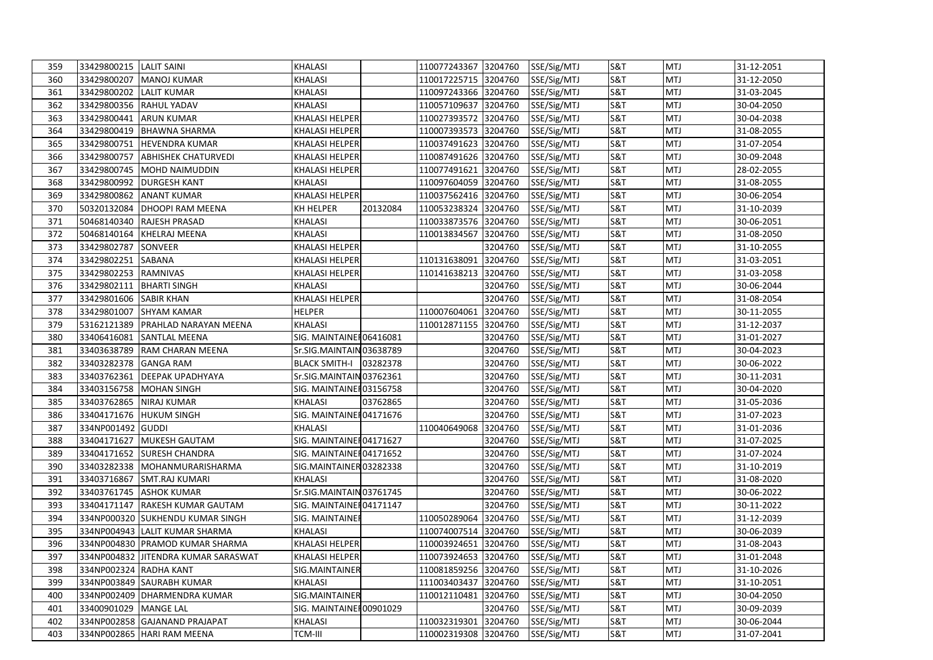| 359 | 33429800215 LALIT SAINI |                                      | <b>KHALASI</b>           |          | 110077243367 3204760 |         | SSE/Sig/MTJ | S&T            | <b>MTJ</b> | 31-12-2051 |
|-----|-------------------------|--------------------------------------|--------------------------|----------|----------------------|---------|-------------|----------------|------------|------------|
| 360 | 33429800207             | <b>MANOJ KUMAR</b>                   | <b>KHALASI</b>           |          | 110017225715 3204760 |         | SSE/Sig/MTJ | <b>S&amp;T</b> | <b>MTJ</b> | 31-12-2050 |
| 361 | 33429800202             | <b>LALIT KUMAR</b>                   | <b>KHALASI</b>           |          | 110097243366 3204760 |         | SSE/Sig/MTJ | S&T            | <b>MTJ</b> | 31-03-2045 |
| 362 |                         | 33429800356 RAHUL YADAV              | <b>KHALASI</b>           |          | 110057109637 3204760 |         | SSE/Sig/MTJ | <b>S&amp;T</b> | <b>MTJ</b> | 30-04-2050 |
| 363 | 33429800441             | <b>ARUN KUMAR</b>                    | KHALASI HELPER           |          | 110027393572 3204760 |         | SSE/Sig/MTJ | S&T            | <b>MTJ</b> | 30-04-2038 |
| 364 | 33429800419             | <b>BHAWNA SHARMA</b>                 | KHALASI HELPER           |          | 110007393573 3204760 |         | SSE/Sig/MTJ | S&T            | MTJ        | 31-08-2055 |
| 365 |                         | 33429800751 HEVENDRA KUMAR           | KHALASI HELPER           |          | 110037491623 3204760 |         | SSE/Sig/MTJ | S&T            | MTJ        | 31-07-2054 |
| 366 | 33429800757             | <b>ABHISHEK CHATURVEDI</b>           | <b>KHALASI HELPER</b>    |          | 110087491626 3204760 |         | SSE/Sig/MTJ | S&T            | <b>MTJ</b> | 30-09-2048 |
| 367 | 33429800745             | MOHD NAIMUDDIN                       | KHALASI HELPER           |          | 110077491621 3204760 |         | SSE/Sig/MTJ | S&T            | MTJ        | 28-02-2055 |
| 368 | 33429800992             | <b>DURGESH KANT</b>                  | <b>KHALASI</b>           |          | 110097604059 3204760 |         | SSE/Sig/MTJ | <b>S&amp;T</b> | <b>MTJ</b> | 31-08-2055 |
| 369 | 33429800862             | <b>ANANT KUMAR</b>                   | KHALASI HELPER           |          | 110037562416 3204760 |         | SSE/Sig/MTJ | S&T            | <b>MTJ</b> | 30-06-2054 |
| 370 | 50320132084             | DHOOPI RAM MEENA                     | KH HELPER                | 20132084 | 110053238324 3204760 |         | SSE/Sig/MTJ | S&T            | <b>MTJ</b> | 31-10-2039 |
| 371 | 50468140340             | RAJESH PRASAD                        | <b>KHALASI</b>           |          | 110033873576 3204760 |         | SSE/Sig/MTJ | <b>S&amp;T</b> | <b>MTJ</b> | 30-06-2051 |
| 372 | 50468140164             | <b>KHELRAJ MEENA</b>                 | <b>KHALASI</b>           |          | 110013834567         | 3204760 | SSE/Sig/MTJ | S&T            | <b>MTJ</b> | 31-08-2050 |
| 373 | 33429802787             | <b>SONVEER</b>                       | KHALASI HELPER           |          |                      | 3204760 | SSE/Sig/MTJ | S&T            | <b>MTJ</b> | 31-10-2055 |
| 374 | 33429802251             | <b>SABANA</b>                        | KHALASI HELPER           |          | 110131638091         | 3204760 | SSE/Sig/MTJ | S&T            | <b>MTJ</b> | 31-03-2051 |
| 375 | 33429802253             | <b>RAMNIVAS</b>                      | KHALASI HELPER           |          | 110141638213         | 3204760 | SSE/Sig/MTJ | S&T            | <b>MTJ</b> | 31-03-2058 |
| 376 | 33429802111             | <b>BHARTI SINGH</b>                  | KHALASI                  |          |                      | 3204760 | SSE/Sig/MTJ | S&T            | MTJ        | 30-06-2044 |
| 377 | 33429801606             | <b>SABIR KHAN</b>                    | KHALASI HELPER           |          |                      | 3204760 | SSE/Sig/MTJ | S&T            | <b>MTJ</b> | 31-08-2054 |
| 378 | 33429801007             | <b>SHYAM KAMAR</b>                   | <b>HELPER</b>            |          | 110007604061         | 3204760 | SSE/Sig/MTJ | S&T            | <b>MTJ</b> | 30-11-2055 |
| 379 | 53162121389             | PRAHLAD NARAYAN MEENA                | <b>KHALASI</b>           |          | 110012871155         | 3204760 | SSE/Sig/MTJ | S&T            | <b>MTJ</b> | 31-12-2037 |
| 380 | 33406416081             | <b>SANTLAL MEENA</b>                 | SIG. MAINTAINE 06416081  |          |                      | 3204760 | SSE/Sig/MTJ | S&T            | <b>MTJ</b> | 31-01-2027 |
| 381 | 33403638789             | RAM CHARAN MEENA                     | Sr.SIG.MAINTAIN03638789  |          |                      | 3204760 | SSE/Sig/MTJ | S&T            | MTJ        | 30-04-2023 |
| 382 | 33403282378             | <b>GANGA RAM</b>                     | <b>BLACK SMITH-I</b>     | 03282378 |                      | 3204760 | SSE/Sig/MTJ | S&T            | <b>MTJ</b> | 30-06-2022 |
| 383 | 33403762361             | <b>DEEPAK UPADHYAYA</b>              | Sr.SIG.MAINTAIN 03762361 |          |                      | 3204760 | SSE/Sig/MTJ | S&T            | <b>MTJ</b> | 30-11-2031 |
| 384 | 33403156758             | <b>MOHAN SINGH</b>                   | SIG. MAINTAINE 103156758 |          |                      | 3204760 | SSE/Sig/MTJ | <b>S&amp;T</b> | MTJ        | 30-04-2020 |
| 385 |                         | 33403762865 NIRAJ KUMAR              | <b>KHALASI</b>           | 03762865 |                      | 3204760 | SSE/Sig/MTJ | S&T            | <b>MTJ</b> | 31-05-2036 |
| 386 | 33404171676             | <b>HUKUM SINGH</b>                   | SIG. MAINTAINE 104171676 |          |                      | 3204760 | SSE/Sig/MTJ | S&T            | <b>MTJ</b> | 31-07-2023 |
| 387 | 334NP001492             | <b>GUDDI</b>                         | <b>KHALASI</b>           |          | 110040649068         | 3204760 | SSE/Sig/MTJ | S&T            | <b>MTJ</b> | 31-01-2036 |
| 388 |                         | 33404171627 MUKESH GAUTAM            | SIG. MAINTAINE 104171627 |          |                      | 3204760 | SSE/Sig/MTJ | S&T            | MTJ        | 31-07-2025 |
| 389 |                         | 33404171652 SURESH CHANDRA           | SIG. MAINTAINE 104171652 |          |                      | 3204760 | SSE/Sig/MTJ | <b>S&amp;T</b> | <b>MTJ</b> | 31-07-2024 |
| 390 | 33403282338             | MOHANMURARISHARMA                    | SIG.MAINTAINER03282338   |          |                      | 3204760 | SSE/Sig/MTJ | S&T            | <b>MTJ</b> | 31-10-2019 |
| 391 | 33403716867             | <b>SMT.RAJ KUMARI</b>                | <b>KHALASI</b>           |          |                      | 3204760 | SSE/Sig/MTJ | S&T            | <b>MTJ</b> | 31-08-2020 |
| 392 | 33403761745             | <b>ASHOK KUMAR</b>                   | Sr.SIG.MAINTAIN03761745  |          |                      | 3204760 | SSE/Sig/MTJ | S&T            | <b>MTJ</b> | 30-06-2022 |
| 393 | 33404171147             | <b>RAKESH KUMAR GAUTAM</b>           | SIG. MAINTAINE 104171147 |          |                      | 3204760 | SSE/Sig/MTJ | S&T            | MTJ        | 30-11-2022 |
| 394 |                         | 334NP000320 SUKHENDU KUMAR SINGH     | SIG. MAINTAINE           |          | 110050289064         | 3204760 | SSE/Sig/MTJ | <b>S&amp;T</b> | <b>MTJ</b> | 31-12-2039 |
| 395 |                         | 334NP004943 LALIT KUMAR SHARMA       | <b>KHALASI</b>           |          | 110074007514         | 3204760 | SSE/Sig/MTJ | S&T            | <b>MTJ</b> | 30-06-2039 |
| 396 |                         | 334NP004830 PRAMOD KUMAR SHARMA      | <b>KHALASI HELPER</b>    |          | 110003924651         | 3204760 | SSE/Sig/MTJ | <b>S&amp;T</b> | <b>MTJ</b> | 31-08-2043 |
| 397 |                         | 334NP004832 JJITENDRA KUMAR SARASWAT | <b>KHALASI HELPER</b>    |          | 110073924653 3204760 |         | SSE/Sig/MTJ | S&T            | <b>MTJ</b> | 31-01-2048 |
| 398 | 334NP002324 RADHA KANT  |                                      | SIG.MAINTAINER           |          | 110081859256 3204760 |         | SSE/Sig/MTJ | S&T            | <b>MTJ</b> | 31-10-2026 |
| 399 |                         | 334NP003849 SAURABH KUMAR            | <b>KHALASI</b>           |          | 111003403437         | 3204760 | SSE/Sig/MTJ | S&T            | <b>MTJ</b> | 31-10-2051 |
| 400 |                         | 334NP002409 DHARMENDRA KUMAR         | SIG.MAINTAINER           |          | 110012110481 3204760 |         | SSE/Sig/MTJ | S&T            | MTJ        | 30-04-2050 |
| 401 | 33400901029             | <b>MANGE LAL</b>                     | SIG. MAINTAINE 00901029  |          |                      | 3204760 | SSE/Sig/MTJ | S&T            | <b>MTJ</b> | 30-09-2039 |
| 402 |                         | 334NP002858 GAJANAND PRAJAPAT        | <b>KHALASI</b>           |          | 110032319301 3204760 |         | SSE/Sig/MTJ | S&T            | <b>MTJ</b> | 30-06-2044 |
| 403 |                         | 334NP002865 HARI RAM MEENA           | TCM-III                  |          | 110002319308 3204760 |         | SSE/Sig/MTJ | S&T            | <b>MTJ</b> | 31-07-2041 |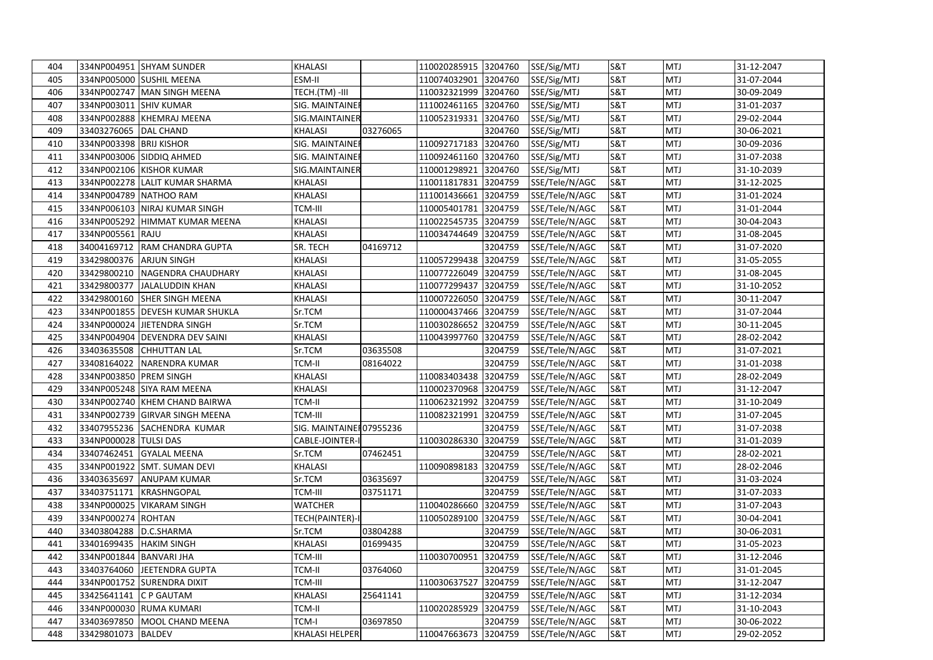| 404 |                           | 334NP004951 SHYAM SUNDER        | <b>KHALASI</b>           |          | 110020285915 3204760 |         | SSE/Sig/MTJ    | S&T            | <b>MTJ</b> | 31-12-2047 |
|-----|---------------------------|---------------------------------|--------------------------|----------|----------------------|---------|----------------|----------------|------------|------------|
| 405 |                           | 334NP005000 SUSHIL MEENA        | ESM-II                   |          | 110074032901 3204760 |         | SSE/Sig/MTJ    | <b>S&amp;T</b> | MTJ        | 31-07-2044 |
| 406 |                           | 334NP002747 MAN SINGH MEENA     | TECH.(TM) -III           |          | 110032321999 3204760 |         | SSE/Sig/MTJ    | S&T            | <b>MTJ</b> | 30-09-2049 |
| 407 | 334NP003011 SHIV KUMAR    |                                 | SIG. MAINTAINER          |          | 111002461165 3204760 |         | SSE/Sig/MTJ    | S&T            | MTJ        | 31-01-2037 |
| 408 |                           | 334NP002888 KHEMRAJ MEENA       | SIG.MAINTAINER           |          | 110052319331         | 3204760 | SSE/Sig/MTJ    | <b>S&amp;T</b> | MTJ        | 29-02-2044 |
| 409 | 33403276065  DAL CHAND    |                                 | <b>KHALASI</b>           | 03276065 |                      | 3204760 | SSE/Sig/MTJ    | S&T            | <b>MTJ</b> | 30-06-2021 |
| 410 | 334NP003398 BRIJ KISHOR   |                                 | SIG. MAINTAINER          |          | 110092717183         | 3204760 | SSE/Sig/MTJ    | S&T            | MTJ        | 30-09-2036 |
| 411 |                           | 334NP003006 SIDDIQ AHMED        | SIG. MAINTAINE           |          | 110092461160         | 3204760 | SSE/Sig/MTJ    | S&T            | MTJ        | 31-07-2038 |
| 412 |                           | 334NP002106 KISHOR KUMAR        | SIG.MAINTAINER           |          | 110001298921 3204760 |         | SSE/Sig/MTJ    | S&T            | <b>MTJ</b> | 31-10-2039 |
| 413 |                           | 334NP002278 LALIT KUMAR SHARMA  | KHALASI                  |          | 110011817831 3204759 |         | SSE/Tele/N/AGC | S&T            | MTJ        | 31-12-2025 |
| 414 |                           | 334NP004789 NATHOO RAM          | KHALASI                  |          | 111001436661         | 3204759 | SSE/Tele/N/AGC | <b>S&amp;T</b> | MTJ        | 31-01-2024 |
| 415 |                           | 334NP006103 NIRAJ KUMAR SINGH   | TCM-III                  |          | 110005401781 3204759 |         | SSE/Tele/N/AGC | S&T            | <b>MTJ</b> | 31-01-2044 |
| 416 |                           | 334NP005292 HIMMAT KUMAR MEENA  | KHALASI                  |          | 110022545735         | 3204759 | SSE/Tele/N/AGC | <b>S&amp;T</b> | <b>MTJ</b> | 30-04-2043 |
| 417 | 334NP005561 RAJU          |                                 | KHALASI                  |          | 110034744649         | 3204759 | SSE/Tele/N/AGC | <b>S&amp;T</b> | MTJ        | 31-08-2045 |
| 418 |                           | 34004169712 RAM CHANDRA GUPTA   | SR. TECH                 | 04169712 |                      | 3204759 | SSE/Tele/N/AGC | S&T            | <b>MTJ</b> | 31-07-2020 |
| 419 | 33429800376 ARJUN SINGH   |                                 | KHALASI                  |          | 110057299438         | 3204759 | SSE/Tele/N/AGC | <b>S&amp;T</b> | MTJ        | 31-05-2055 |
| 420 |                           | 33429800210 NAGENDRA CHAUDHARY  | <b>KHALASI</b>           |          | 110077226049         | 3204759 | SSE/Tele/N/AGC | S&T            | MTJ        | 31-08-2045 |
| 421 |                           | 33429800377 JALALUDDIN KHAN     | KHALASI                  |          | 110077299437 3204759 |         | SSE/Tele/N/AGC | S&T            | <b>MTJ</b> | 31-10-2052 |
| 422 |                           | 33429800160 SHER SINGH MEENA    | KHALASI                  |          | 110007226050         | 3204759 | SSE/Tele/N/AGC | <b>S&amp;T</b> | MTJ        | 30-11-2047 |
| 423 |                           | 334NP001855 DEVESH KUMAR SHUKLA | Sr.TCM                   |          | 110000437466         | 3204759 | SSE/Tele/N/AGC | S&T            | MTJ        | 31-07-2044 |
| 424 |                           | 334NP000024 JIETENDRA SINGH     | Sr.TCM                   |          | 110030286652 3204759 |         | SSE/Tele/N/AGC | S&T            | MTJ        | 30-11-2045 |
| 425 |                           | 334NP004904 DEVENDRA DEV SAINI  | KHALASI                  |          | 110043997760         | 3204759 | SSE/Tele/N/AGC | S&T            | <b>MTJ</b> | 28-02-2042 |
| 426 |                           | 33403635508 CHHUTTAN LAL        | Sr.TCM                   | 03635508 |                      | 3204759 | SSE/Tele/N/AGC | S&T            | <b>MTJ</b> | 31-07-2021 |
| 427 |                           | 33408164022 NARENDRA KUMAR      | TCM-II                   | 08164022 |                      | 3204759 | SSE/Tele/N/AGC | S&T            | <b>MTJ</b> | 31-01-2038 |
| 428 | 334NP003850 PREM SINGH    |                                 | <b>KHALASI</b>           |          | 110083403438         | 3204759 | SSE/Tele/N/AGC | <b>S&amp;T</b> | <b>MTJ</b> | 28-02-2049 |
| 429 |                           | 334NP005248 SIYA RAM MEENA      | KHALASI                  |          | 110002370968 3204759 |         | SSE/Tele/N/AGC | S&T            | <b>MTJ</b> | 31-12-2047 |
| 430 |                           | 334NP002740 KHEM CHAND BAIRWA   | TCM-II                   |          | 110062321992 3204759 |         | SSE/Tele/N/AGC | S&T            | <b>MTJ</b> | 31-10-2049 |
| 431 |                           | 334NP002739 GIRVAR SINGH MEENA  | TCM-III                  |          | 110082321991         | 3204759 | SSE/Tele/N/AGC | S&T            | MTJ        | 31-07-2045 |
| 432 |                           | 33407955236 SACHENDRA KUMAR     | SIG. MAINTAINE 107955236 |          |                      | 3204759 | SSE/Tele/N/AGC | S&T            | MTJ        | 31-07-2038 |
| 433 | 334NP000028 TULSI DAS     |                                 | CABLE-JOINTER-           |          | 110030286330 3204759 |         | SSE/Tele/N/AGC | S&T            | <b>MTJ</b> | 31-01-2039 |
| 434 |                           | 33407462451 GYALAL MEENA        | Sr.TCM                   | 07462451 |                      | 3204759 | SSE/Tele/N/AGC | S&T            | MTJ        | 28-02-2021 |
| 435 |                           | 334NP001922 SMT. SUMAN DEVI     | KHALASI                  |          | 110090898183         | 3204759 | SSE/Tele/N/AGC | <b>S&amp;T</b> | MTJ        | 28-02-2046 |
| 436 |                           | 33403635697 ANUPAM KUMAR        | Sr.TCM                   | 03635697 |                      | 3204759 | SSE/Tele/N/AGC | S&T            | <b>MTJ</b> | 31-03-2024 |
| 437 |                           | 33403751171 KRASHNGOPAL         | TCM-III                  | 03751171 |                      | 3204759 | SSE/Tele/N/AGC | S&T            | <b>MTJ</b> | 31-07-2033 |
| 438 |                           | 334NP000025   VIKARAM SINGH     | WATCHER                  |          | 110040286660         | 3204759 | SSE/Tele/N/AGC | S&T            | <b>MTJ</b> | 31-07-2043 |
| 439 | 334NP000274 ROHTAN        |                                 | TECH(PAINTER)-I          |          | 110050289100         | 3204759 | SSE/Tele/N/AGC | S&T            | <b>MTJ</b> | 30-04-2041 |
| 440 | 33403804288               | D.C.SHARMA                      | Sr.TCM                   | 03804288 |                      | 3204759 | SSE/Tele/N/AGC | S&T            | <b>MTJ</b> | 30-06-2031 |
| 441 | 33401699435   HAKIM SINGH |                                 | KHALASI                  | 01699435 |                      | 3204759 | SSE/Tele/N/AGC | S&T            | <b>MTJ</b> | 31-05-2023 |
| 442 | 334NP001844 BANVARI JHA   |                                 | TCM-III                  |          | 110030700951         | 3204759 | SSE/Tele/N/AGC | S&T            | <b>MTJ</b> | 31-12-2046 |
| 443 |                           | 33403764060 JEETENDRA GUPTA     | TCM-II                   | 03764060 |                      | 3204759 | SSE/Tele/N/AGC | S&T            | MTJ        | 31-01-2045 |
| 444 |                           | 334NP001752 SURENDRA DIXIT      | TCM-III                  |          | 110030637527         | 3204759 | SSE/Tele/N/AGC | <b>S&amp;T</b> | <b>MTJ</b> | 31-12-2047 |
| 445 | 33425641141 C P GAUTAM    |                                 | <b>KHALASI</b>           | 25641141 |                      | 3204759 | SSE/Tele/N/AGC | S&T            | <b>MTJ</b> | 31-12-2034 |
| 446 |                           | 334NP000030 RUMA KUMARI         | TCM-II                   |          | 110020285929 3204759 |         | SSE/Tele/N/AGC | S&T            | MTJ        | 31-10-2043 |
| 447 |                           | 33403697850 MOOL CHAND MEENA    | TCM-I                    | 03697850 |                      | 3204759 | SSE/Tele/N/AGC | S&T            | MTJ        | 30-06-2022 |
| 448 | 33429801073 BALDEV        |                                 | <b>KHALASI HELPER</b>    |          | 110047663673 3204759 |         | SSE/Tele/N/AGC | <b>S&amp;T</b> | <b>MTJ</b> | 29-02-2052 |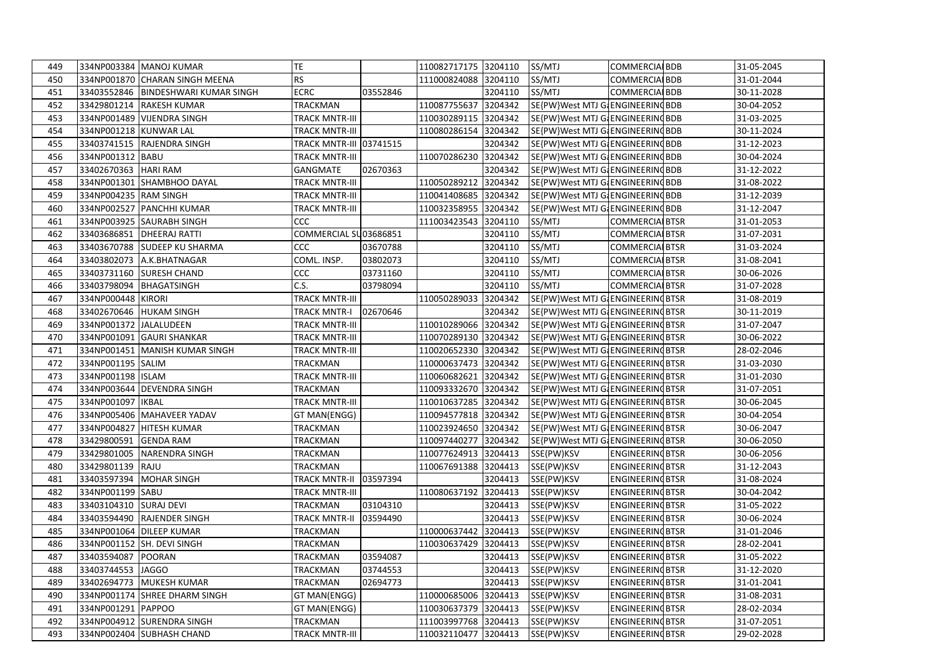| 449 |                        | 334NP003384 MANOJ KUMAR             | TE                      |          | 110082717175 3204110 |         | SS/MTJ                             | <b>COMMERCIALBDB</b>               | 31-05-2045 |
|-----|------------------------|-------------------------------------|-------------------------|----------|----------------------|---------|------------------------------------|------------------------------------|------------|
| 450 |                        | 334NP001870 CHARAN SINGH MEENA      | <b>RS</b>               |          | 111000824088 3204110 |         | SS/MTJ                             | <b>COMMERCIALBDB</b>               | 31-01-2044 |
| 451 |                        | 33403552846 BINDESHWARI KUMAR SINGH | <b>ECRC</b>             | 03552846 |                      | 3204110 | SS/MTJ                             | <b>COMMERCIALBDB</b>               | 30-11-2028 |
| 452 |                        | 33429801214 RAKESH KUMAR            | <b>TRACKMAN</b>         |          | 110087755637 3204342 |         | SE{PW}West MTJ G&ENGINEERING BDB   |                                    | 30-04-2052 |
| 453 |                        | 334NP001489 VIJENDRA SINGH          | TRACK MNTR-III          |          | 110030289115         | 3204342 | SE{PW}West MTJ G{ENGINEERING BDB   |                                    | 31-03-2025 |
| 454 | 334NP001218 KUNWAR LAL |                                     | TRACK MNTR-III          |          | 110080286154 3204342 |         | SE{PW}West MTJ G&ENGINEERING BDB   |                                    | 30-11-2024 |
| 455 |                        | 33403741515 RAJENDRA SINGH          | TRACK MNTR-III 03741515 |          |                      | 3204342 | SE{PW}West MTJ G&ENGINEERINGBDB    |                                    | 31-12-2023 |
| 456 | 334NP001312 BABU       |                                     | <b>TRACK MNTR-III</b>   |          | 110070286230         | 3204342 | SE{PW}West MTJ G: ENGINEERING BDB  |                                    | 30-04-2024 |
| 457 | 33402670363   HARI RAM |                                     | GANGMATE                | 02670363 |                      | 3204342 | SE{PW}West MTJ G&ENGINEERING BDB   |                                    | 31-12-2022 |
| 458 |                        | 334NP001301 SHAMBHOO DAYAL          | TRACK MNTR-III          |          | 110050289212         | 3204342 | SE{PW}West MTJ G&ENGINEERING BDB   |                                    | 31-08-2022 |
| 459 | 334NP004235 RAM SINGH  |                                     | TRACK MNTR-III          |          | 110041408685         | 3204342 | SE{PW}West MTJ G: ENGINEERING BDB  |                                    | 31-12-2039 |
| 460 |                        | 334NP002527 PANCHHI KUMAR           | TRACK MNTR-III          |          | 110032358955         | 3204342 | SE{PW}West MTJ G&ENGINEERINGBDB    |                                    | 31-12-2047 |
| 461 |                        | 334NP003925 SAURABH SINGH           | CCC                     |          | 111003423543         | 3204110 | SS/MTJ                             | <b>COMMERCIALBTSR</b>              | 31-01-2053 |
| 462 |                        | 33403686851   DHEERAJ RATTI         | COMMERCIAL SU03686851   |          |                      | 3204110 | SS/MTJ                             | <b>COMMERCIALBTSR</b>              | 31-07-2031 |
| 463 | 33403670788            | <b>SUDEEP KU SHARMA</b>             | CCC                     | 03670788 |                      | 3204110 | SS/MTJ                             | <b>COMMERCIALBTSR</b>              | 31-03-2024 |
| 464 | 33403802073            | A.K.BHATNAGAR                       | COML. INSP.             | 03802073 |                      | 3204110 | SS/MTJ                             | <b>COMMERCIAL BTSR</b>             | 31-08-2041 |
| 465 | 33403731160            | <b>SURESH CHAND</b>                 | CCC                     | 03731160 |                      | 3204110 | SS/MTJ                             | <b>COMMERCIALBTSR</b>              | 30-06-2026 |
| 466 |                        | 33403798094 BHAGATSINGH             | C.S.                    | 03798094 |                      | 3204110 | SS/MTJ                             | <b>COMMERCIAL BTSR</b>             | 31-07-2028 |
| 467 | 334NP000448 KIRORI     |                                     | TRACK MNTR-III          |          | 110050289033         | 3204342 | SE{PW}West MTJ G{ENGINEERING BTSR  |                                    | 31-08-2019 |
| 468 |                        | 33402670646 HUKAM SINGH             | <b>TRACK MNTR-I</b>     | 02670646 |                      | 3204342 | SE{PW}West MTJ G: ENGINEERING BTSR |                                    | 30-11-2019 |
| 469 | 334NP001372 JALALUDEEN |                                     | <b>TRACK MNTR-III</b>   |          | 110010289066         | 3204342 |                                    | SE{PW}West MTJ G. ENGINEERING BTSR | 31-07-2047 |
| 470 |                        | 334NP001091 GAURI SHANKAR           | <b>TRACK MNTR-III</b>   |          | 110070289130         | 3204342 | SE{PW}West MTJ G. ENGINEERING BTSR |                                    | 30-06-2022 |
| 471 |                        | 334NP001451 MANISH KUMAR SINGH      | TRACK MNTR-III          |          | 110020652330 3204342 |         | SE{PW}West MTJ G. ENGINEERING BTSR |                                    | 28-02-2046 |
| 472 | 334NP001195 SALIM      |                                     | <b>TRACKMAN</b>         |          | 110000637473         | 3204342 | SE{PW}West MTJ G. ENGINEERING BTSR |                                    | 31-03-2030 |
| 473 | 334NP001198 ISLAM      |                                     | <b>TRACK MNTR-III</b>   |          | 110060682621         | 3204342 | SE{PW}West MTJ G. ENGINEERING BTSR |                                    | 31-01-2030 |
| 474 |                        | 334NP003644 DEVENDRA SINGH          | TRACKMAN                |          | 110093332670         | 3204342 | SE{PW}West MTJ G. ENGINEERING BTSR |                                    | 31-07-2051 |
| 475 | 334NP001097            | <b>IKBAL</b>                        | TRACK MNTR-III          |          | 110010637285         | 3204342 | SE{PW}West MTJ G{ENGINEERINGBTSR   |                                    | 30-06-2045 |
| 476 |                        | 334NP005406 MAHAVEER YADAV          | GT MAN(ENGG)            |          | 110094577818 3204342 |         |                                    | SE{PW}West MTJ G. ENGINEERING BTSR | 30-04-2054 |
| 477 |                        | 334NP004827 HITESH KUMAR            | TRACKMAN                |          | 110023924650 3204342 |         |                                    | SE{PW}West MTJ G. ENGINEERING BTSR | 30-06-2047 |
| 478 | 33429800591            | <b>GENDA RAM</b>                    | TRACKMAN                |          | 110097440277         | 3204342 |                                    | SE{PW}West MTJ G. ENGINEERING BTSR | 30-06-2050 |
| 479 | 33429801005            | NARENDRA SINGH                      | TRACKMAN                |          | 110077624913 3204413 |         | SSE(PW)KSV                         | <b>ENGINEERING BTSR</b>            | 30-06-2056 |
| 480 | 33429801139            | <b>RAJU</b>                         | TRACKMAN                |          | 110067691388         | 3204413 | SSE(PW)KSV                         | <b>ENGINEERING BTSR</b>            | 31-12-2043 |
| 481 | 33403597394            | <b>MOHAR SINGH</b>                  | TRACK MNTR-II           | 03597394 |                      | 3204413 | SSE(PW)KSV                         | <b>ENGINEERING BTSR</b>            | 31-08-2024 |
| 482 | 334NP001199 SABU       |                                     | TRACK MNTR-III          |          | 110080637192         | 3204413 | SSE(PW)KSV                         | <b>ENGINEERING BTSR</b>            | 30-04-2042 |
| 483 | 33403104310 SURAJ DEVI |                                     | TRACKMAN                | 03104310 |                      | 3204413 | SSE(PW)KSV                         | <b>ENGINEERING BTSR</b>            | 31-05-2022 |
| 484 |                        | 33403594490 RAJENDER SINGH          | <b>TRACK MNTR-II</b>    | 03594490 |                      | 3204413 | SSE(PW)KSV                         | <b>ENGINEERING BTSR</b>            | 30-06-2024 |
| 485 |                        | 334NP001064 DILEEP KUMAR            | TRACKMAN                |          | 110000637442         | 3204413 | SSE(PW)KSV                         | <b>ENGINEERING BTSR</b>            | 31-01-2046 |
| 486 |                        | 334NP001152 SH. DEVI SINGH          | TRACKMAN                |          | 110030637429 3204413 |         | SSE(PW)KSV                         | <b>ENGINEERING BTSR</b>            | 28-02-2041 |
| 487 | 33403594087 POORAN     |                                     | TRACKMAN                | 03594087 |                      |         | 3204413 SSE(PW)KSV                 | <b>ENGINEERING BTSR</b>            | 31-05-2022 |
| 488 | 33403744553 JAGGO      |                                     | TRACKMAN                | 03744553 |                      | 3204413 | SSE(PW)KSV                         | <b>ENGINEERING BTSR</b>            | 31-12-2020 |
| 489 |                        | 33402694773 MUKESH KUMAR            | TRACKMAN                | 02694773 |                      | 3204413 | SSE(PW)KSV                         | <b>ENGINEERING BTSR</b>            | 31-01-2041 |
| 490 |                        | 334NP001174 SHREE DHARM SINGH       | GT MAN(ENGG)            |          | 110000685006         | 3204413 | SSE(PW)KSV                         | <b>ENGINEERING BTSR</b>            | 31-08-2031 |
| 491 | 334NP001291 PAPPOO     |                                     | GT MAN(ENGG)            |          | 110030637379 3204413 |         | SSE(PW)KSV                         | <b>ENGINEERING BTSR</b>            | 28-02-2034 |
| 492 |                        | 334NP004912 SURENDRA SINGH          | TRACKMAN                |          | 111003997768 3204413 |         | SSE(PW)KSV                         | <b>ENGINEERING BTSR</b>            | 31-07-2051 |
| 493 |                        | 334NP002404 SUBHASH CHAND           | <b>TRACK MNTR-III</b>   |          | 110032110477 3204413 |         | SSE(PW)KSV                         | <b>ENGINEERING BTSR</b>            | 29-02-2028 |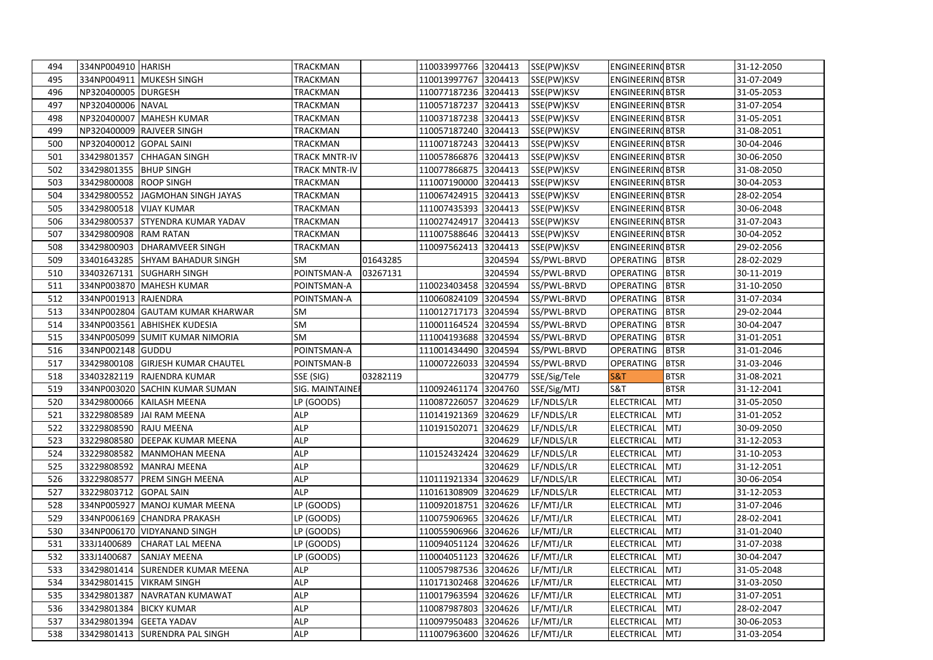| 494 | 334NP004910 HARISH      |                                   | <b>TRACKMAN</b>      |          | 110033997766 3204413           |         | SSE(PW)KSV   | <b>ENGINEERING BTSR</b> |             | 31-12-2050 |
|-----|-------------------------|-----------------------------------|----------------------|----------|--------------------------------|---------|--------------|-------------------------|-------------|------------|
| 495 |                         | 334NP004911 MUKESH SINGH          | TRACKMAN             |          | 110013997767 3204413           |         | SSE(PW)KSV   | <b>ENGINEERING BTSR</b> |             | 31-07-2049 |
| 496 | NP320400005 DURGESH     |                                   | <b>TRACKMAN</b>      |          | 110077187236 3204413           |         | SSE(PW)KSV   | <b>ENGINEERING BTSR</b> |             | 31-05-2053 |
| 497 | NP320400006 NAVAL       |                                   | <b>TRACKMAN</b>      |          | 110057187237 3204413           |         | SSE(PW)KSV   | <b>ENGINEERING BTSR</b> |             | 31-07-2054 |
| 498 |                         | NP320400007   MAHESH KUMAR        | TRACKMAN             |          | 110037187238 3204413           |         | SSE(PW)KSV   | <b>ENGINEERING BTSR</b> |             | 31-05-2051 |
| 499 |                         | NP320400009 RAJVEER SINGH         | <b>TRACKMAN</b>      |          | 110057187240                   | 3204413 | SSE(PW)KSV   | <b>ENGINEERING BTSR</b> |             | 31-08-2051 |
| 500 | NP320400012 GOPAL SAINI |                                   | <b>TRACKMAN</b>      |          | 111007187243 3204413           |         | SSE(PW)KSV   | <b>ENGINEERING BTSR</b> |             | 30-04-2046 |
| 501 | 33429801357             | <b>CHHAGAN SINGH</b>              | <b>TRACK MNTR-IV</b> |          | 110057866876 3204413           |         | SSE(PW)KSV   | <b>ENGINEERING BTSR</b> |             | 30-06-2050 |
| 502 | 33429801355             | <b>BHUP SINGH</b>                 | <b>TRACK MNTR-IV</b> |          | 110077866875                   | 3204413 | SSE(PW)KSV   | <b>ENGINEERING BTSR</b> |             | 31-08-2050 |
| 503 | 33429800008             | <b>ROOP SINGH</b>                 | <b>TRACKMAN</b>      |          | 111007190000                   | 3204413 | SSE(PW)KSV   | <b>ENGINEERING BTSR</b> |             | 30-04-2053 |
| 504 | 33429800552             | JAGMOHAN SINGH JAYAS              | TRACKMAN             |          | 110067424915                   | 3204413 | SSE(PW)KSV   | <b>ENGINEERING BTSR</b> |             | 28-02-2054 |
| 505 | 33429800518             | <b>VIJAY KUMAR</b>                | TRACKMAN             |          | 111007435393                   | 3204413 | SSE(PW)KSV   | <b>ENGINEERING BTSR</b> |             | 30-06-2048 |
| 506 | 33429800537             | <b>STYENDRA KUMAR YADAV</b>       | TRACKMAN             |          | 110027424917                   | 3204413 | SSE(PW)KSV   | <b>ENGINEERING BTSR</b> |             | 31-07-2043 |
| 507 | 33429800908             | <b>RAM RATAN</b>                  | TRACKMAN             |          | 111007588646                   | 3204413 | SSE(PW)KSV   | <b>ENGINEERING BTSR</b> |             | 30-04-2052 |
| 508 | 33429800903             | <b>DHARAMVEER SINGH</b>           | TRACKMAN             |          | 110097562413                   | 3204413 | SSE(PW)KSV   | <b>ENGINEERING BTSR</b> |             | 29-02-2056 |
| 509 | 33401643285             | <b>SHYAM BAHADUR SINGH</b>        | SM                   | 01643285 |                                | 3204594 | SS/PWL-BRVD  | <b>OPERATING</b>        | <b>BTSR</b> | 28-02-2029 |
| 510 | 33403267131             | <b>SUGHARH SINGH</b>              | POINTSMAN-A          | 03267131 |                                | 3204594 | SS/PWL-BRVD  | <b>OPERATING</b>        | <b>BTSR</b> | 30-11-2019 |
| 511 |                         | 334NP003870 MAHESH KUMAR          | POINTSMAN-A          |          | 110023403458                   | 3204594 | SS/PWL-BRVD  | <b>OPERATING</b>        | <b>BTSR</b> | 31-10-2050 |
| 512 | 334NP001913 RAJENDRA    |                                   | POINTSMAN-A          |          | 110060824109                   | 3204594 | SS/PWL-BRVD  | <b>OPERATING</b>        | <b>BTSR</b> | 31-07-2034 |
| 513 |                         | 334NP002804 GAUTAM KUMAR KHARWAR  | SM                   |          | 110012717173                   | 3204594 | SS/PWL-BRVD  | <b>OPERATING</b>        | <b>BTSR</b> | 29-02-2044 |
| 514 |                         | 334NP003561 ABHISHEK KUDESIA      | SM                   |          | 110001164524 3204594           |         | SS/PWL-BRVD  | <b>OPERATING</b>        | <b>BTSR</b> | 30-04-2047 |
| 515 |                         | 334NP005099 SUMIT KUMAR NIMORIA   | <b>SM</b>            |          | 111004193688 3204594           |         | SS/PWL-BRVD  | <b>OPERATING</b>        | <b>BTSR</b> | 31-01-2051 |
| 516 | 334NP002148 GUDDU       |                                   | POINTSMAN-A          |          | 111001434490 3204594           |         | SS/PWL-BRVD  | <b>OPERATING</b>        | <b>BTSR</b> | 31-01-2046 |
| 517 |                         | 33429800108 GIRJESH KUMAR CHAUTEL | POINTSMAN-B          |          | 110007226033 3204594           |         | SS/PWL-BRVD  | <b>OPERATING</b>        | <b>BTSR</b> | 31-03-2046 |
| 518 |                         | 33403282119 RAJENDRA KUMAR        | SSE (SIG)            | 03282119 |                                | 3204779 | SSE/Sig/Tele | <b>S&amp;T</b>          | <b>BTSR</b> | 31-08-2021 |
| 519 |                         | 334NP003020 SACHIN KUMAR SUMAN    | SIG. MAINTAINEI      |          | 110092461174                   | 3204760 | SSE/Sig/MTJ  | <b>S&amp;T</b>          | <b>BTSR</b> | 31-12-2041 |
| 520 | 33429800066             | <b>KAILASH MEENA</b>              | LP (GOODS)           |          | 110087226057                   | 3204629 | LF/NDLS/LR   | <b>ELECTRICAL</b>       | <b>MTJ</b>  | 31-05-2050 |
| 521 | 33229808589             | <b>JAI RAM MEENA</b>              | <b>ALP</b>           |          | 110141921369                   | 3204629 | LF/NDLS/LR   | ELECTRICAL              | <b>MTJ</b>  | 31-01-2052 |
| 522 | 33229808590             | <b>RAJU MEENA</b>                 | <b>ALP</b>           |          | 110191502071                   | 3204629 | LF/NDLS/LR   | <b>ELECTRICAL</b>       | <b>MTJ</b>  | 30-09-2050 |
| 523 | 33229808580             | <b>DEEPAK KUMAR MEENA</b>         | <b>ALP</b>           |          |                                | 3204629 | LF/NDLS/LR   | <b>ELECTRICAL</b>       | <b>MTJ</b>  | 31-12-2053 |
| 524 | 33229808582             | <b>MANMOHAN MEENA</b>             | <b>ALP</b>           |          | 110152432424                   | 3204629 | LF/NDLS/LR   | ELECTRICAL              | <b>MTJ</b>  | 31-10-2053 |
| 525 | 33229808592             | <b>MANRAJ MEENA</b>               | <b>ALP</b>           |          |                                | 3204629 | LF/NDLS/LR   | <b>ELECTRICAL</b>       | <b>MTJ</b>  | 31-12-2051 |
| 526 | 33229808577             | <b>PREM SINGH MEENA</b>           | <b>ALP</b>           |          | 110111921334 3204629           |         | LF/NDLS/LR   | ELECTRICAL              | <b>MTJ</b>  | 30-06-2054 |
| 527 | 33229803712             | <b>GOPAL SAIN</b>                 | <b>ALP</b>           |          | 110161308909                   | 3204629 | LF/NDLS/LR   | <b>ELECTRICAL</b>       | <b>MTJ</b>  | 31-12-2053 |
| 528 | 334NP005927             | MANOJ KUMAR MEENA                 | LP (GOODS)           |          | 110092018751 3204626           |         | LF/MTJ/LR    | <b>ELECTRICAL</b>       | <b>MTJ</b>  | 31-07-2046 |
| 529 |                         | 334NP006169 CHANDRA PRAKASH       | LP (GOODS)           |          | 110075906965 3204626           |         | LF/MTJ/LR    | <b>ELECTRICAL</b>       | <b>MTJ</b>  | 28-02-2041 |
| 530 |                         | 334NP006170 VIDYANAND SINGH       | LP (GOODS)           |          | 110055906966 3204626           |         | LF/MTJ/LR    | <b>ELECTRICAL</b>       | <b>MTJ</b>  | 31-01-2040 |
| 531 |                         | 333J1400689 CHARAT LAL MEENA      | LP (GOODS)           |          | 110094051124 3204626           |         | LF/MTJ/LR    | ELECTRICAL MTJ          |             | 31-07-2038 |
| 532 |                         | 333J1400687 SANJAY MEENA          | LP (GOODS)           |          | 110004051123 3204626 LF/MTJ/LR |         |              | ELECTRICAL MTJ          |             | 30-04-2047 |
| 533 |                         | 33429801414 SURENDER KUMAR MEENA  | <b>ALP</b>           |          | 110057987536 3204626           |         | LF/MTJ/LR    | ELECTRICAL MTJ          |             | 31-05-2048 |
| 534 |                         | 33429801415   VIKRAM SINGH        | <b>ALP</b>           |          | 110171302468 3204626           |         | LF/MTJ/LR    | <b>ELECTRICAL</b>       | <b>MTJ</b>  | 31-03-2050 |
| 535 |                         | 33429801387 NAVRATAN KUMAWAT      | <b>ALP</b>           |          | 110017963594 3204626           |         | LF/MTJ/LR    | <b>ELECTRICAL</b>       | <b>MTJ</b>  | 31-07-2051 |
| 536 | 33429801384 BICKY KUMAR |                                   | <b>ALP</b>           |          | 110087987803 3204626           |         | LF/MTJ/LR    | ELECTRICAL              | <b>MTJ</b>  | 28-02-2047 |
| 537 | 33429801394 GEETA YADAV |                                   | <b>ALP</b>           |          | 110097950483 3204626           |         | LF/MTJ/LR    | <b>ELECTRICAL</b>       | <b>MTJ</b>  | 30-06-2053 |
| 538 |                         | 33429801413 SURENDRA PAL SINGH    | <b>ALP</b>           |          | 111007963600 3204626           |         | LF/MTJ/LR    | ELECTRICAL MTJ          |             | 31-03-2054 |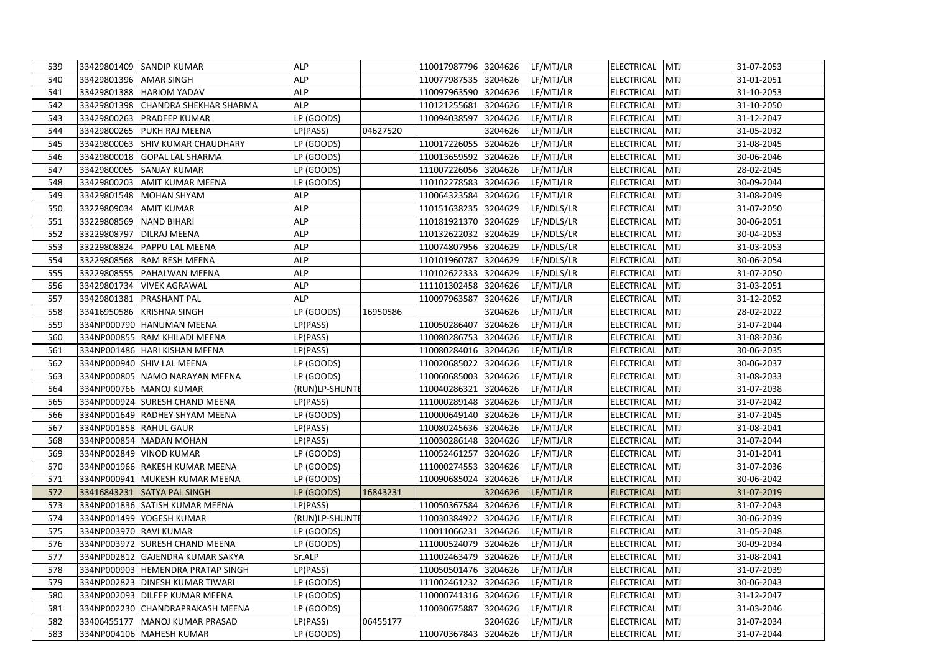| 539 |                        | 33429801409 SANDIP KUMAR           | <b>ALP</b>              |          | 110017987796 3204626 |         | LF/MTJ/LR  | ELECTRICAL MTJ    |            | 31-07-2053 |
|-----|------------------------|------------------------------------|-------------------------|----------|----------------------|---------|------------|-------------------|------------|------------|
| 540 | 33429801396 AMAR SINGH |                                    | <b>ALP</b>              |          | 110077987535 3204626 |         | LF/MTJ/LR  | ELECTRICAL        | <b>MTJ</b> | 31-01-2051 |
| 541 |                        | 33429801388 HARIOM YADAV           | <b>ALP</b>              |          | 110097963590 3204626 |         | LF/MTJ/LR  | <b>ELECTRICAL</b> | <b>MTJ</b> | 31-10-2053 |
| 542 | 33429801398            | <b>CHANDRA SHEKHAR SHARMA</b>      | <b>ALP</b>              |          | 110121255681         | 3204626 | LF/MTJ/LR  | ELECTRICAL        | <b>MTJ</b> | 31-10-2050 |
| 543 | 33429800263            | <b>PRADEEP KUMAR</b>               | $\overline{LP}$ (GOODS) |          | 110094038597         | 3204626 | LF/MTJ/LR  | <b>ELECTRICAL</b> | <b>MTJ</b> | 31-12-2047 |
| 544 |                        | 33429800265 PUKH RAJ MEENA         | LP(PASS)                | 04627520 |                      | 3204626 | LF/MTJ/LR  | ELECTRICAL        | <b>MTJ</b> | 31-05-2032 |
| 545 | 33429800063            | SHIV KUMAR CHAUDHARY               | LP (GOODS)              |          | 110017226055         | 3204626 | LF/MTJ/LR  | ELECTRICAL        | <b>MTJ</b> | 31-08-2045 |
| 546 | 33429800018            | <b>GOPAL LAL SHARMA</b>            | LP (GOODS)              |          | 110013659592         | 3204626 | LF/MTJ/LR  | <b>ELECTRICAL</b> | <b>MTJ</b> | 30-06-2046 |
| 547 |                        | 33429800065 SANJAY KUMAR           | LP (GOODS)              |          | 111007226056 3204626 |         | LF/MTJ/LR  | ELECTRICAL        | <b>MTJ</b> | 28-02-2045 |
| 548 | 33429800203            | <b>AMIT KUMAR MEENA</b>            | LP (GOODS)              |          | 110102278583         | 3204626 | LF/MTJ/LR  | ELECTRICAL        | <b>MTJ</b> | 30-09-2044 |
| 549 | 33429801548            | <b>MOHAN SHYAM</b>                 | <b>ALP</b>              |          | 110064323584         | 3204626 | LF/MTJ/LR  | <b>ELECTRICAL</b> | <b>MTJ</b> | 31-08-2049 |
| 550 | 33229809034 AMIT KUMAR |                                    | <b>ALP</b>              |          | 110151638235 3204629 |         | LF/NDLS/LR | ELECTRICAL        | <b>MTJ</b> | 31-07-2050 |
| 551 | 33229808569            | <b>NAND BIHARI</b>                 | <b>ALP</b>              |          | 110181921370 3204629 |         | LF/NDLS/LR | <b>ELECTRICAL</b> | <b>MTJ</b> | 30-06-2051 |
| 552 | 33229808797            | <b>DILRAJ MEENA</b>                | <b>ALP</b>              |          | 110132622032         | 3204629 | LF/NDLS/LR | <b>ELECTRICAL</b> | <b>MTJ</b> | 30-04-2053 |
| 553 |                        | 33229808824 PAPPU LAL MEENA        | <b>ALP</b>              |          | 110074807956 3204629 |         | LF/NDLS/LR | <b>ELECTRICAL</b> | <b>MTJ</b> | 31-03-2053 |
| 554 | 33229808568            | <b>RAM RESH MEENA</b>              | <b>ALP</b>              |          | 110101960787         | 3204629 | LF/NDLS/LR | <b>ELECTRICAL</b> | <b>MTJ</b> | 30-06-2054 |
| 555 | 33229808555            | <b>PAHALWAN MEENA</b>              | <b>ALP</b>              |          | 110102622333         | 3204629 | LF/NDLS/LR | <b>ELECTRICAL</b> | <b>MTJ</b> | 31-07-2050 |
| 556 |                        | 33429801734 VIVEK AGRAWAL          | <b>ALP</b>              |          | 111101302458         | 3204626 | LF/MTJ/LR  | <b>ELECTRICAL</b> | <b>MTJ</b> | 31-03-2051 |
| 557 | 33429801381            | <b>PRASHANT PAL</b>                | <b>ALP</b>              |          | 110097963587         | 3204626 | LF/MTJ/LR  | <b>ELECTRICAL</b> | <b>MTJ</b> | 31-12-2052 |
| 558 |                        | 33416950586 KRISHNA SINGH          | LP (GOODS)              | 16950586 |                      | 3204626 | LF/MTJ/LR  | <b>ELECTRICAL</b> | <b>MTJ</b> | 28-02-2022 |
| 559 |                        | 334NP000790 HANUMAN MEENA          | LP(PASS)                |          | 110050286407         | 3204626 | LF/MTJ/LR  | ELECTRICAL        | <b>MTJ</b> | 31-07-2044 |
| 560 |                        | 334NP000855 RAM KHILADI MEENA      | LP(PASS)                |          | 110080286753         | 3204626 | LF/MTJ/LR  | <b>ELECTRICAL</b> | <b>MTJ</b> | 31-08-2036 |
| 561 |                        | 334NP001486   HARI KISHAN MEENA    | LP(PASS)                |          | 110080284016 3204626 |         | LF/MTJ/LR  | ELECTRICAL        | <b>MTJ</b> | 30-06-2035 |
| 562 |                        | 334NP000940 SHIV LAL MEENA         | LP (GOODS)              |          | 110020685022 3204626 |         | LF/MTJ/LR  | ELECTRICAL        | <b>MTJ</b> | 30-06-2037 |
| 563 |                        | 334NP000805 NAMO NARAYAN MEENA     | LP (GOODS)              |          | 110060685003         | 3204626 | LF/MTJ/LR  | <b>ELECTRICAL</b> | <b>MTJ</b> | 31-08-2033 |
| 564 |                        | 334NP000766 MANOJ KUMAR            | (RUN)LP-SHUNTE          |          | 110040286321         | 3204626 | LF/MTJ/LR  | <b>ELECTRICAL</b> | <b>MTJ</b> | 31-07-2038 |
| 565 |                        | 334NP000924 SURESH CHAND MEENA     | LP(PASS)                |          | 111000289148 3204626 |         | LF/MTJ/LR  | ELECTRICAL        | <b>MTJ</b> | 31-07-2042 |
| 566 |                        | 334NP001649 RADHEY SHYAM MEENA     | LP (GOODS)              |          | 110000649140         | 3204626 | LF/MTJ/LR  | <b>ELECTRICAL</b> | <b>MTJ</b> | 31-07-2045 |
| 567 | 334NP001858 RAHUL GAUR |                                    | LP(PASS)                |          | 110080245636         | 3204626 | LF/MTJ/LR  | ELECTRICAL        | <b>MTJ</b> | 31-08-2041 |
| 568 |                        | 334NP000854 MADAN MOHAN            | LP(PASS)                |          | 110030286148 3204626 |         | LF/MTJ/LR  | ELECTRICAL        | <b>MTJ</b> | 31-07-2044 |
| 569 |                        | 334NP002849 VINOD KUMAR            | LP (GOODS)              |          | 110052461257 3204626 |         | LF/MTJ/LR  | <b>ELECTRICAL</b> | <b>MTJ</b> | 31-01-2041 |
| 570 |                        | 334NP001966 RAKESH KUMAR MEENA     | LP (GOODS)              |          | 111000274553         | 3204626 | LF/MTJ/LR  | ELECTRICAL        | <b>MTJ</b> | 31-07-2036 |
| 571 |                        | 334NP000941 MUKESH KUMAR MEENA     | LP (GOODS)              |          | 110090685024         | 3204626 | LF/MTJ/LR  | ELECTRICAL        | <b>MTJ</b> | 30-06-2042 |
| 572 | 33416843231            | <b>SATYA PAL SINGH</b>             | LP (GOODS)              | 16843231 |                      | 3204626 | LF/MTJ/LR  | <b>ELECTRICAL</b> | <b>MTJ</b> | 31-07-2019 |
| 573 |                        | 334NP001836 SATISH KUMAR MEENA     | LP(PASS)                |          | 110050367584         | 3204626 | LF/MTJ/LR  | ELECTRICAL        | <b>MTJ</b> | 31-07-2043 |
| 574 |                        | 334NP001499 YOGESH KUMAR           | (RUN)LP-SHUNTE          |          | 110030384922 3204626 |         | LF/MTJ/LR  | ELECTRICAL        | <b>MTJ</b> | 30-06-2039 |
| 575 | 334NP003970 RAVI KUMAR |                                    | LP (GOODS)              |          | 110011066231         | 3204626 | LF/MTJ/LR  | ELECTRICAL        | <b>MTJ</b> | 31-05-2048 |
| 576 |                        | 334NP003972 SURESH CHAND MEENA     | LP (GOODS)              |          | 111000524079         | 3204626 | LF/MTJ/LR  | ELECTRICAL        | <b>MTJ</b> | 30-09-2034 |
| 577 |                        | 334NP002812 GAJENDRA KUMAR SAKYA   | Sr.ALP                  |          | 111002463479 3204626 |         | LF/MTJ/LR  | ELECTRICAL        | <b>MTJ</b> | 31-08-2041 |
| 578 |                        | 334NP000903  HEMENDRA PRATAP SINGH | LP(PASS)                |          | 110050501476 3204626 |         | LF/MTJ/LR  | ELECTRICAL        | <b>MTJ</b> | 31-07-2039 |
| 579 |                        | 334NP002823 DINESH KUMAR TIWARI    | LP (GOODS)              |          | 111002461232         | 3204626 | LF/MTJ/LR  | ELECTRICAL        | <b>MTJ</b> | 30-06-2043 |
| 580 |                        | 334NP002093 DILEEP KUMAR MEENA     | LP (GOODS)              |          | 110000741316         | 3204626 | LF/MTJ/LR  | ELECTRICAL        | <b>MTJ</b> | 31-12-2047 |
| 581 |                        | 334NP002230 CHANDRAPRAKASH MEENA   | LP (GOODS)              |          | 110030675887         | 3204626 | LF/MTJ/LR  | <b>ELECTRICAL</b> | <b>MTJ</b> | 31-03-2046 |
| 582 | 33406455177            | MANOJ KUMAR PRASAD                 | LP(PASS)                | 06455177 |                      | 3204626 | LF/MTJ/LR  | ELECTRICAL        | <b>MTJ</b> | 31-07-2034 |
| 583 |                        | 334NP004106 MAHESH KUMAR           | LP (GOODS)              |          | 110070367843 3204626 |         | LF/MTJ/LR  | ELECTRICAL MTJ    |            | 31-07-2044 |